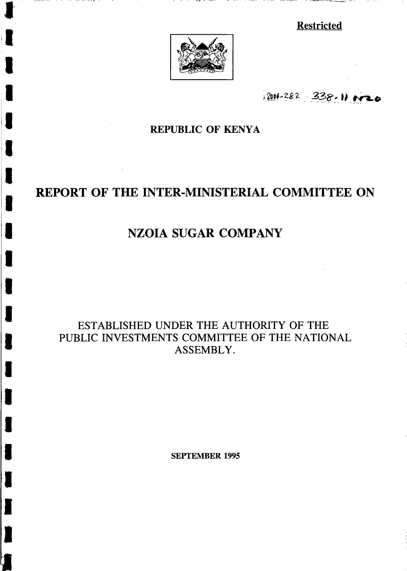**Restricted** 



**r** 

II

I

I

I

t

I

T

I

I

I

I

I

I

I

t

**t** 

I

2006-282 338.11 0020

# REPUBLIC OF KENYA

# REPORT OF THE INTER-MINISTERIAL COMMITTEE ON

# NZOIA SUGAR COMPANY

ESTABLISHED UNDER THE AUTHORITY OF THE PUBLIC INVESTMENTS COMMITTEE OF THE NATIONAL ASSEMBLY.

SEPTEMBER 1995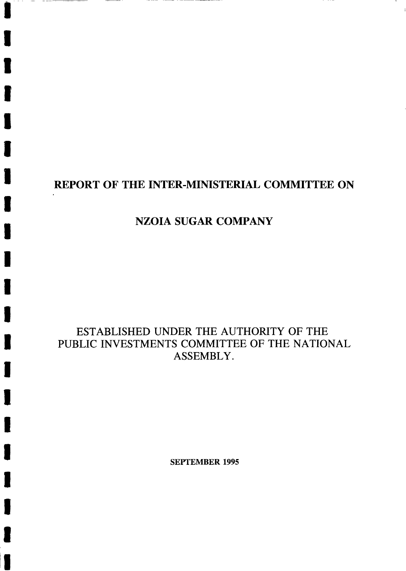# REPORT OF THE INTER-MINISTERIAL COMMITTEE ON

# NZOIA SUGAR COMPANY

I

I

I

T

I

t

l,

T

I

I

I

I

t

I

I

I

T

iT

# ESTABLISHED UNDER THE AUTHORITY OF THE PUBLIC INVESTMENTS COMMITTEE OF THE NATIONAL ASSEMBLY. ASSEMBLY.

**SEPTEMBER 1995**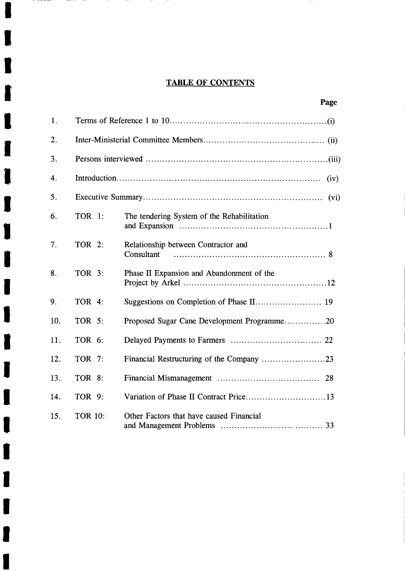# TABLE OF CONTENTS

I

 $\begin{array}{lllllllll} \multicolumn{3}{l}{{\bf 1}} & \multicolumn{3}{l}{{\bf 1}} & \multicolumn{3}{l}{{\bf 1}} & \multicolumn{3}{l}{{\bf 1}} & \multicolumn{3}{l}{{\bf 1}} & \multicolumn{3}{l}{{\bf 1}} & \multicolumn{3}{l}{{\bf 1}} & \multicolumn{3}{l}{{\bf 1}} & \multicolumn{3}{l}{{\bf 1}} & \multicolumn{3}{l}{{\bf 1}} & \multicolumn{3}{l}{{\bf 1}} & \multicolumn{3}{l}{{\bf 1}} & \multicolumn{3}{l}{{\bf 1}} & \$ 

 $-1$ 

t

I

I

I

I

I

I

T

I

I

I

I

I

I

I

I

I

I

l,

I

| 1.  |                |                                                   |  |
|-----|----------------|---------------------------------------------------|--|
| 2.  |                |                                                   |  |
| 3.  |                |                                                   |  |
| 4.  | (iv)           |                                                   |  |
| 5.  |                | (v <sub>i</sub> )                                 |  |
| 6.  | TOR 1:         | The tendering System of the Rehabilitation        |  |
| 7.  | TOR 2:         | Relationship between Contractor and<br>Consultant |  |
| 8.  | <b>TOR 3:</b>  | Phase II Expansion and Abandonment of the         |  |
| 9.  | TOR 4:         |                                                   |  |
| 10. | TOR 5:         | Proposed Sugar Cane Development Programme20       |  |
| 11. | TOR 6:         |                                                   |  |
| 12. | TOR 7:         |                                                   |  |
| 13. | TOR 8:         |                                                   |  |
| 14. | TOR 9:         |                                                   |  |
| 15. | <b>TOR 10:</b> | Other Factors that have caused Financial          |  |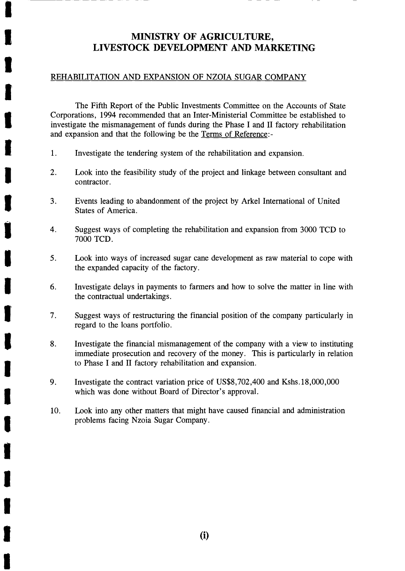## MINISTRY OF AGRICULTURE, LIVESTOCK DEVELOPMENT AND MARKETING

## REHABILITATION AND EXPANSION OF NZOIA SUGAR COMPANY

I

t

I

t

I

I

I

I

I

I

I

The Fifth Report of the Public Investments Committee on the Accounts of State I Corporations, 1994 recommended that an Inter-Ministerial Committee be established to investigate the mismanagement of funds during the Phase I and II factory rehabilitation and expansion and that the following be the Terms of Reference:-

- 1. Investigate the tendering system of the rehabilitation and expansion.
- 2. Look into the feasibility study of the project and linkage between consultant and contractor.
- $\blacksquare$  3. States of America. Events leading to abandonment of the project by Arkel International of United
- $\bullet$ . 7000 TCD. Suggest ways of completing the rehabilitation and expansion from 3000 TCD to
	- <sup>I</sup>5. Look into ways of increased sugar cane development as raw material to cope with the expanded capacity of the factory.
- $\bullet$ . the contractual undertakings. Investigate delays in payments to farmers and how to solve the matter in line with
	- 7. Suggest ways of restructuring the financial position of the company particularly in regard to the loans portfolio.
	- 8. Investigate the financial mismanagement of the company with a view to instituting immediate prosecution and recovery of the money. This is particularly in relation to Phase I and II factory rehabilitation and expansion.
	- 9. Investigate the contract variation price of US\$8,702,400 and Kshs.18,000,000 which was done without Board of Director's approval.
	- 10. Look into any other matters that might have caused financial and administration problems facing Nzoia Sugar Company.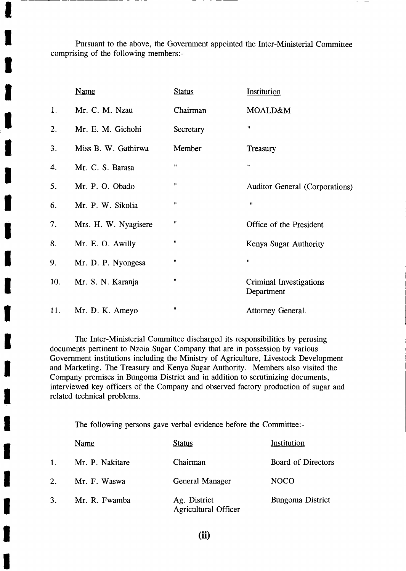Pursuant to the above, the Government appointed the Inter-Ministerial Committee comprising of the following members:-

I

I

I

I

|   |     | <b>Name</b>          | <b>Status</b>        | Institution                                  |
|---|-----|----------------------|----------------------|----------------------------------------------|
|   | 1.  | Mr. C. M. Nzau       | Chairman             | MOALD&M                                      |
| I | 2.  | Mr. E. M. Gichohi    | Secretary            | 11                                           |
| I | 3.  | Miss B. W. Gathirwa  | Member               | Treasury                                     |
| l | 4.  | Mr. C. S. Barasa     | Ħ                    | Ħ                                            |
|   | 5.  | Mr. P. O. Obado      | 11                   | <b>Auditor General (Corporations)</b>        |
| I | 6.  | Mr. P. W. Sikolia    | Ħ                    | Ħ                                            |
| I | 7.  | Mrs. H. W. Nyagisere | Ħ                    | Office of the President                      |
|   | 8.  | Mr. E. O. Awilly     | $\pmb{\mathfrak{m}}$ | Kenya Sugar Authority                        |
| I | 9.  | Mr. D. P. Nyongesa   | Ħ                    | $\pmb{\mathsf{H}}$                           |
| I | 10. | Mr. S. N. Karanja    | $\pmb{\mathfrak{m}}$ | <b>Criminal Investigations</b><br>Department |
| I | 11. | Mr. D. K. Ameyo      | $\pmb{\mathfrak{m}}$ | Attorney General.                            |

The Inter-Ministerial Committee discharged its responsibilities by perusing documents pertinent to Nzoia Sugar Company that are in possession by various Government institutions including the Ministry of Agriculture, Livestock Development and Marketing, The Treasury and Kenya Sugar Authority. Members also visited the Company premises in Bungoma District and in addition to scrutinizing documents, interviewed key officers of the Company and observed factory production of sugar and related technical problems.

The following persons gave verbal evidence before the Committee:-

| I |         | <b>Name</b>     | <b>Status</b>                               | Institution        |
|---|---------|-----------------|---------------------------------------------|--------------------|
|   |         | Mr. P. Nakitare | Chairman                                    | Board of Directors |
| I | $2_{-}$ | Mr. F. Waswa    | General Manager                             | <b>NOCO</b>        |
| I | 3.      | Mr. R. Fwamba   | Ag. District<br><b>Agricultural Officer</b> | Bungoma District   |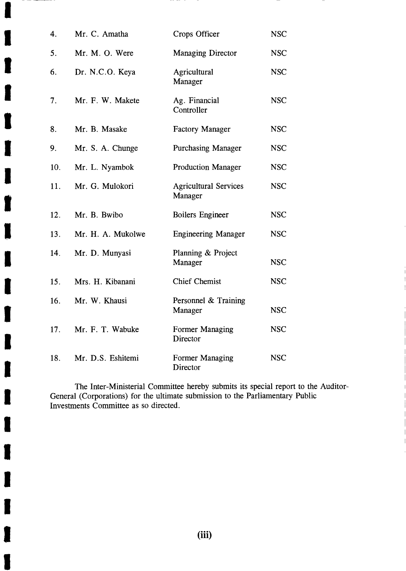| 4.  | Mr. C. Amatha     | Crops Officer                           | <b>NSC</b> |
|-----|-------------------|-----------------------------------------|------------|
| 5.  | Mr. M. O. Were    | <b>Managing Director</b>                | <b>NSC</b> |
| 6.  | Dr. N.C.O. Keya   | Agricultural<br>Manager                 | <b>NSC</b> |
| 7.  | Mr. F. W. Makete  | Ag. Financial<br>Controller             | <b>NSC</b> |
| 8.  | Mr. B. Masake     | <b>Factory Manager</b>                  | <b>NSC</b> |
| 9.  | Mr. S. A. Chunge  | <b>Purchasing Manager</b>               | <b>NSC</b> |
| 10. | Mr. L. Nyambok    | <b>Production Manager</b>               | <b>NSC</b> |
| 11. | Mr. G. Mulokori   | <b>Agricultural Services</b><br>Manager | <b>NSC</b> |
| 12. | Mr. B. Bwibo      | Boilers Engineer                        | <b>NSC</b> |
| 13. | Mr. H. A. Mukolwe | <b>Engineering Manager</b>              | <b>NSC</b> |
| 14. | Mr. D. Munyasi    | Planning & Project<br>Manager           | <b>NSC</b> |
| 15. | Mrs. H. Kibanani  | <b>Chief Chemist</b>                    | <b>NSC</b> |
| 16. | Mr. W. Khausi     | Personnel & Training<br>Manager         | <b>NSC</b> |
| 17. | Mr. F. T. Wabuke  | Former Managing<br>Director             | <b>NSC</b> |
| 18. | Mr. D.S. Eshitemi | Former Managing<br>Director             | <b>NSC</b> |

The Inter-Ministerial Committee hereby submits its special report to the Auditor-General (Corporations) for the ultimate submission to the Parliamentary Public Investments Committee as so directed.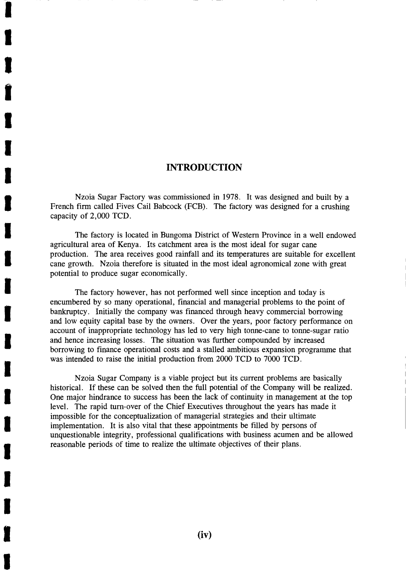## INTRODUCTION

I

I

Ļ

I

T

I

I

 $\mathbf{r}$ 

I

I

t

I

I

T

Nzoia Sugar Factory was commissioned in 1978. It was designed and built by a French firm called Fives Cail Babcock (FCB). The factory was designed for a crushing capacity of 2,000 TCD.

The factory is located in Bungoma District of Western Province in a well endowed agricultural area of Kenya. Its catchment area is the most ideal for sugar cane production. The area receives good rainfall and its temperatures are suitable for excellent cane growth. Nzoia therefore is situated in the most ideal agronomical zone with great potential to produce sugar economically.

The factory however, has not performed well since inception and today is encumbered by so many operational, financial and managerial problems to the point of bankruptcy. Initially the company was financed through heavy commercial borrowing and low equity capital base by the owners. Over the years, poor factory performance on account of inappropriate technology has led to very high tonne-cane to tonne-sugar ratio and hence increasing losses. The situation was further compounded by increased borrowing to finance operational costs and a stalled ambitious expansion programme that was intended to raise the initial production from 2000 TCD to 7000 TCD.

Nzoia Sugar Company is a viable project but its current problems are basically historical. If these can be solved then the full potential of the Company will be realized. One major hindrance to success has been the lack of continuity in management at the top level. The rapid turn-over of the Chief Executives throughout the years has made it impossible for the conceptualization of managerial strategies and their ultimate implementation. It is also vital that these appointments be filled by persons of unquestionable integrity, professional qualifications with business acumen and be allowed reasonable periods of time to realize the ultimate objectives of their plans.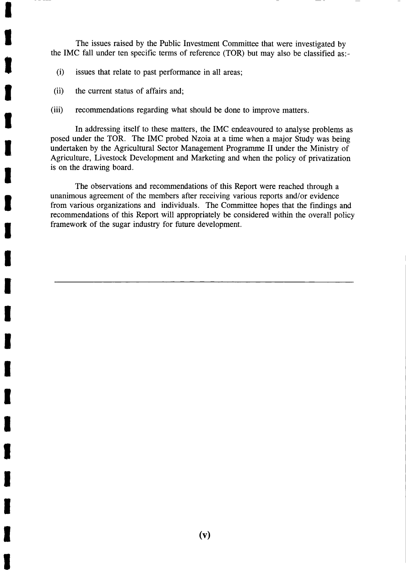The issues raised by the Public Investment Committee that were investigated by the IMC fall under ten specific terms of reference (TOR) but may also be classified as:-

- $(i)$  issues that relate to past performance in all areas;
- <sup>I</sup>(ii) the current status of affairs and;

l,

I

I

t

T

I

I

I

I

t

T

T

i,

T

(iii) recommendations regarding what should be done to improve matters.

In addressing itself to these matters, the IMC endeavoured to analyse problems as posed under the TOR. The IMC probed Nzoia at a time when a major Study was being undertaken by the Agricultural Sector Management Programme II under the Ministry of Agriculture, Livestock Development and Marketing and when the policy of privatization is on the drawing board.

The observations and recommendations of this Report were reached through a unanimous agreement of the members after receiving various reports and/or evidence from various organizations and individuals. The Committee hopes that the findings and recommendations of this Report will appropriately be considered within the overall policy framework of the sugar industry for future development.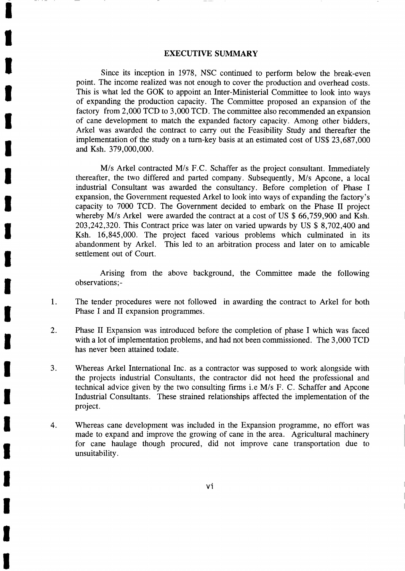#### **EXECUTIVE SUMMARY**

I

**U** 

I

I

t

l,

T

I

i.<br>P

T

T

T

T

T

T

T

t

t

t

I

T

Since its inception in 1978, NSC continued to perform below the break-even point. The income realized was not enough to cover the production and overhead costs. This is what led the GOK to appoint an Inter-Ministerial Committee to look into ways of expanding the production capacity. The Committee proposed an expansion of the factory from 2,000 TCD to 3,000 TCD. The committee also recommended an expansion of cane development to match the expanded factory capacity. Among other bidders, Arkel was awarded the contract to carry out the Feasibility Study and thereafter the implementation of the study on a turn-key basis at an estimated cost of US\$ 23,687,000 and Ksh. 379,000,000.

M/s Arkel contracted M/s F.C. Schaffer as the project consultant. Immediately thereafter, the two differed and parted company. Subsequently, M/s Apcone, a local industrial Consultant was awarded the consultancy. Before completion of Phase I expansion, the Government requested Arkel to look into ways of expanding the factory's capacity to 7000 TCD. The Government decided to embark on the Phase II project whereby M/s Arkel were awarded the contract at a cost of US \$ 66,759,900 and Ksh. 203,242,320. This Contract price was later on varied upwards by US \$ 8,702,400 and Ksh. 16,845,000. The project faced various problems which culminated in its abandonment by Arkel. This led to an arbitration process and later on to amicable settlement out of Court.

Arising from the above background, the Committee made the following observations;-

- 1. The tender procedures were not followed in awarding the contract to Arkel for both Phase I and II expansion programmes.
- 2. Phase II Expansion was introduced before the completion of phase I which was faced with a lot of implementation problems, and had not been commissioned. The 3,000 TCD has never been attained todate.
- a J. Whereas Arkel International Inc. as a contractor was supposed to work alongside with the projects industrial Consultants, the contractor did not heed the professional and technical advice given by the two consulting firms i.e M/s F. C. Schaffer and Apcone Industrial Consultants. These strained relationships affected the implementation of the project.
- 4. Whereas cane development was included in the Expansion programme, no effort was made to expand and improve the growing of cane in the area. Agricultural machinery for cane haulage though procured, did not improve cane transportation due to unsuitability.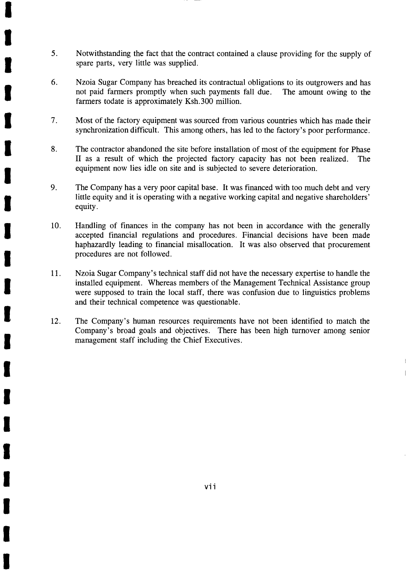5. Notwithstanding the fact that the contract contained a clause providing for the supply of spare parts, very little was supplied.

I

i.

I

T

I

t

T

T

lij<br>S

T

T

T

T

I

T

lij

I

T

I

T

I

- 6. Nzoia Sugar Company has breached its contractual obligations to its outgrowers and has not paid farmers promptly when such payments fall due. The amount owing to the farmers todate is approximately Ksh.300 million.
- Most of the factory equipment was sourced from various countries which has made their synchronization difficult. This among others, has led to the factory's poor perfornance. 7.
- The contractor abandoned the site before installation of most of the equipment for Phase II as a result of which the projected factory capacity has not been realized. The equipment now lies idle on site and is subjected to severe deterioration. 8.
- The Company has a very poor capital base. It was financed with too much debt and very little equity and it is operating with a negative working capital and negative shareholders' equity. 9.
- Handling of finances in the company has not been in accordance with the generally accepted financial regulations and procedures. Financial decisions have been made haphazardly leading to financial misallocation. It was also observed that procurement procedures are not followed. 10.
- Nzoia Sugar Company's technical staff did not have the necessary expertise to handle the installed equipment. Whereas members of the Management Technical Assistance group were supposed to train the local staff, there was confusion due to linguistics problems and their technical competence was questionable. 11.
- The Company's human resources requirements have not been identified to match the Company's broad goals and objectives. There has been high turnover among senior management staff including the Chief Executives. 12.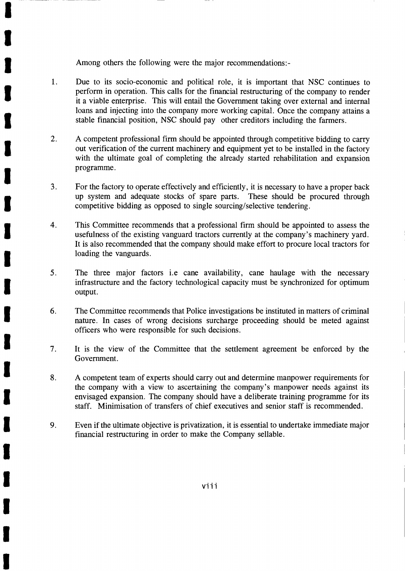Among others the following were the major recommendations:-

I

T

I

T

T

l,

T

T

l,

I

T

T

I

I

t

T

t

T

I

T

t

- l. Due to its socio-economic and political role, it is important that NSC continues to perform in operation. This calls for the financial restructuring of the company to render it a viable enterprise. This will entail the Government taking over external and internal loans and injecting into the company more working capital. Once the company attains a stable financial position, NSC should pay other creditors including the farmers.
- 2. A competent professional firm should be appointed through competitive bidding to carry out verification of the current machinery and equipment yet to be installed in the factory with the ultimate goal of completing the already started rehabilitation and expansion programme.
- J. For the factory to operate effectively and efficiently, it is necessary to have a proper back up system and adequate stocks of spare parts. These should be procured through competitive bidding as opposed to single sourcing/selective tendering.
- 4. This Committee recommends that a professional firm should be appointed to assess the usefulness of the existing vanguard tractors currently at the company's machinery yard. It is also recommended that the company should make effort to procure local tractors for loading the vanguards.
- 5. The three major factors i.e cane availability, cane haulage with the necessary infrastructure and the factory technological capacity must be synchronized for optimum output.
- 6. The Committee recommends that Police investigations be instituted in matters of criminal nature. In cases of wrong decisions surcharge proceeding should be meted against officers who were responsible for such decisions.
- 7. It is the view of the Committee that the settlement agreement be enforced by the Government.
- 8. A competent team of experts should carry out and determine manpower requirements for the company with a view to ascertaining the company's manpower needs against its envisaged expansion. The company should have a deliberate training programme for its staff. Minimisation of transfers of chief executives and senior staff is recommended.
- 9. Even if the ultimate objective is privatization, it is essential to undertake immediate major financial restructuring in order to make the Company sellable.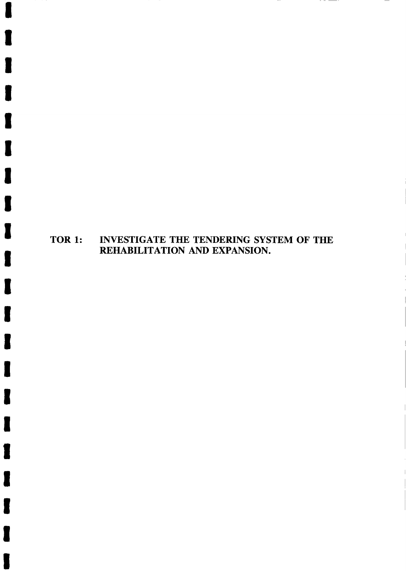# TOR 1: INVESTIGATE THE TENDERING SYSTEM OF THE REHABILITATION AND EXPANSION.

I

Ļ

l,

I

I

I

t

t

T

I

T

I

I

T

T

T

t

t

l,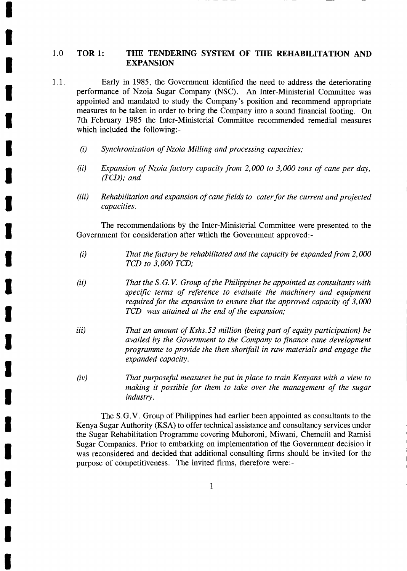#### 1.0 TOR 1: THE TENDERING SYSTEM OF THE REHABILITATION AND **EXPANSION**

- 1.1. Early in 1985, the Government identified the need to address the deteriorating performance of Nzoia Sugar Company (NSC). An Inter-Ministerial Committee was appointed and mandated to study the Company's position and recommend appropriate measures to be taken in order to bring the Company into a sound financial footing. On 7th February 1985 the Inter-Ministerial Committee recommended remedial measures which included the following:-
	- $(i)$  Synchronization of Nzoia Milling and processing capacities;

I

I

I

T

I

I

T

T

T

I

I

T

T

T

I

t

T

i,

I

T

T

- (ii) Expansion of Nzoia factory capacity from 2,000 to 3,000 tons of cane per day, (TCD); and
- (iii) Rehabilitation and expansion of cane fields to cater for the current and projected capacities.

The recommendations by the Inter-Ministerial Committee were presented to the Government for consideration after which the Government approved:-

- $(i)$  That the factory be rehabilitated and the capacity be expanded from 2,000 TCD to 3,000 TCD;
- (ii) That the S.G.V. Group of the Philippines be appointed as consultants with specific terms of reference to evaluate the machinery and equipment required for the expansion to ensure that the approved capacity of 3,000 TCD was attained at the end of the expansion;
- iii) That an amount of Kshs.53 million (being part of equity participation) be availed by the Government to the Company to finance cane development programme to provide the then shortfall in raw materials and engage the expanded capacity.
- That purposeful measures be put in place to train Kenyans with a view to making it possible for them to take over the management of the sugar industry.  $(iv)$

The S.G.V. Group of Philippines had earlier been appointed as consultants to the Kenya Sugar Authority (KSA) to offer technical assistance and consultancy services under the Sugar Rehabilitation Programme covering Muhoroni, Miwani, Chemelil and Ramisi Sugar Companies. Prior to embarking on implementation of the Government decision it was reconsidered and decided that additional consulting firms should be invited for the purpose of competitiveness. The invited firms, therefore were:-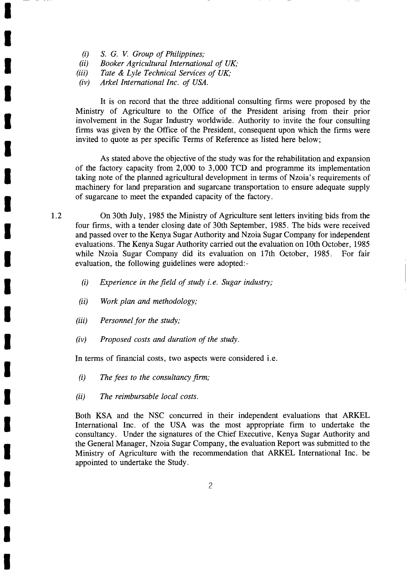- (i) S. G. V. Group of Philippines;<br>(ii) Booker Agricultural Internation
- Booker Agricultural International of  $UK:$
- (iii) Tate & Lyle Technical Services of  $UK:$
- (iv) Arkel International Inc. of USA.

It is on record that the three additional consulting firms were proposed by the Ministry of Agriculture to the Office of the President arising from their prior involvement in the Sugar Industry worldwide. Authority to invite the four consulting firms was given by the Office of the President, consequent upon which the firms were invited to quote as per specific Terms of Reference as listed here below;

As stated above the objective of the study was for the rehabilitation and expansion of the factory capacity from  $2,000$  to  $3,000$  TCD and programme its implementation taking note of the planned agricultural development in terms of Nzoia's requirements of machinery for land preparation and sugarcane transportation to ensure adequate supply of sugarcane to meet the expanded capacity of the factory.

On 30th July, 1985 the Ministry of Agriculture sent letters inviting bids from the four firms, with a tender closing date of 30th September, 1985. The bids were received and passed over to the Kenya Sugar Authority and Nzoia Sugar Company for independent evaluations. The Kenya Sugar Authority carried out the evaluation on 10th October, 1985 while Nzoia Sugar Company did its evaluation on 17th October, 1985. For fair evaluation, the following guidelines were adopted:-

- (i) Experience in the field of study *i.e.* Sugar industry;
- Work plan and methodology; (ii)
- Personnel for the study;  $(iii)$
- Proposed costs and duration of the study.  $(iv)$

In terms of financial costs, two aspects were considered i.e.

- (i) The fees to the consultancy firm;
- (ii) The reimbursable local costs.

Both KSA and the NSC concurred in their independent evaluations that ARKEL International Inc. of the USA was the most appropriate firm to undertake the consultancy. Under the signatures of the Chief Executive, Kenya Sugar Authority and the General Manager, Nzoia Sugar Company, the evaluation Report was submitted to the Ministry of Agriculture with the recommendation that ARKEL International Inc. be appointed to undertake the Study.

I

I

I

I

T

l,

t

T

t

T

l,

I

I

T

t

I

I

I

I

i.

t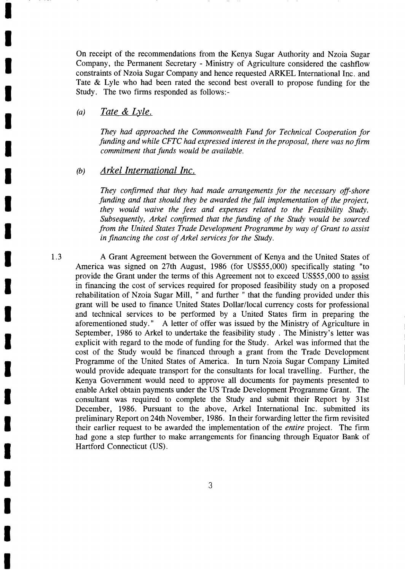On receipt of the recommendations from the Kenya Sugar Authority and Nzoia Sugar Company, the Permanent Secretary - Ministry of Agriculture considered the cashflow constraints of Nzoia Sugar Company and hence requested ARKEL International Inc. and Tate & Lyle who had been rated the second best overall to propose funding for the Study. The two firms responded as follows:-

## (a) Tate & Lyle.

I

I

T

T

t

t

I

T

I

T

T

t

T

I

I

I

l,

T

I

I

T

They had approached the Commonwealth Fund for Technical Cooperation for funding and while CFTC had expressed interest in the proposal, there was no firm commitment that funds would be available.

#### $(b)$ Arkel International Inc.

They confirmed that they had made arrangements for the necessary off-shore funding and that should they be awarded the full implementation of the project, they would waive the fees and expenses related to the Feasibility Study. Subsequently, Arkel confirmed that the funding of the Study would be sourced from the United States Trade Development Programme by way of Grant to assist in financing the cost of Arkel services for the Study.

t.3 A Grant Agreement between the Government of Kenya and the United States of America was signed on 27th August, 1986 (for US\$55,000) specifically stating "to provide the Grant under the terms of this Agreement not to exceed US\$55,000 to assist in financing the cost of services required for proposed feasibility study on a proposed rehabilitation of Nzoia Sugar Mill, " and further " that the funding provided under this grant will be used to finance United States Dollar/local currency costs for professional and technical services to be performed by a United States firm in preparing the aforementioned study. " A letter of offer was issued by the Ministry of Agriculture in September, 1986 to Arkel to undertake the feasibility study . The Ministry's letter was explicit with regard to the mode of funding for the Study. Arkel was informed that the cost of the Study would be financed through a grant from the Trade Development Programme of the United States of America. In turn Nzoia Sugar Company Limited would provide adequate transport for the consultants for local travelling. Further, the Kenya Government would need to approve all documents for payments presented to enable Arkel obtain payments under the US Trade Development Programme Grant. The consultant was required to complete the Study and submit their Report by 31st December, 1986. Pursuant to the above, Arkel International Inc. submitted its preliminary Report on24th November, 1986. In their forwarding letter the firm revisited their earlier request to be awarded the implementation of the entire project. The firm had gone a step further to make arrangements for financing through Equator Bank of Hartford Connecticut (US).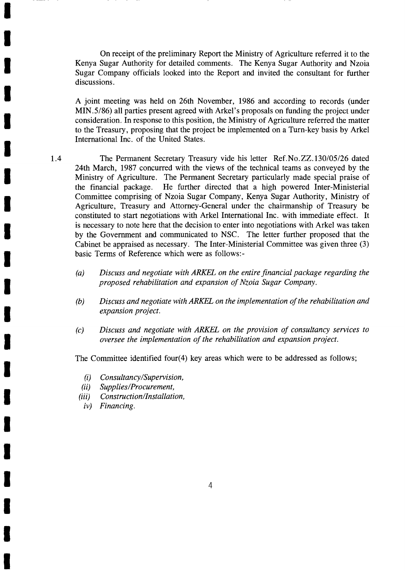On receipt of the preliminary Report the Ministry of Agriculture referred it to the Kenya Sugar Authority for detailed comments. The Kenya Sugar Authority and Nzoia Sugar Company officials looked into the Report and invited the consultant for further discussions.

A joint meeting was held on 26th November, 1986 and according to records (under MIN.5/86) all parties present agreed with Arkel's proposals on funding the project under consideration. In response to this position, the Ministry of Agriculture referred the matter to the Treasury, proposing that the project be implemented on a Turn-key basis by Arkel International Inc. of the United States.

- 1.4 The Permanent Secretary Treasury vide his letter Ref.No.ZZ.130/05/26 dated 24th March, 1987 concurred with the views of the technical teams as conveyed by the Ministry of Agriculture. The Permanent Secretary particularly made special praise of the financial package. He further directed that a high powered Inter-Ministerial Committee comprising of Nzoia Sugar Company, Kenya Sugar Authority, Ministry of Agriculture, Treasury and Attorney-General under the chairmanship of Treasury be constituted to start negotiations with Arkel International Inc. with immediate effect. It is necessary to note here that the decision to enter into negotiations with Arkel was taken by the Government and communicated to NSC. The letter further proposed that the Cabinet be appraised as necessary. The Inter-Ministerial Committee was given three (3) basic Terms of Reference which were as follows:-
	- $(a)$ Discuss and negotiate with ARKEL on the entire financial package regarding the proposed rehabilitation and expansion of Nzoia Sugar Company.
	- (b) Discuss and negotiate with ARKEL on the implementation of the rehabilitation and expansion project.
	- (c) Discuss and negotiate with ARKEL on the provision of consultancy services to oversee the implementation of the rehabilitation and expansion project.

The Committee identified four(4) key areas which were to be addressed as follows;

- (i) Consultancy/Supervision,<br>(ii) Supplies/Procurement,
- Supplies/Procurement,
- (iii) Construction/Installation,
	- iv) Financing.

**T** 

T

T

T

T

I

I

T

I

T

T

I

T

I

I

I

I

I

t

I

I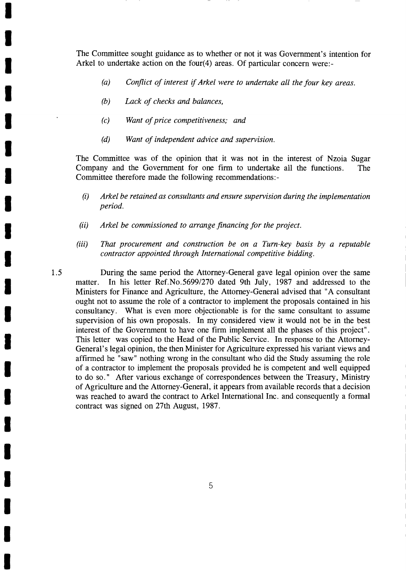The Committee sought guidance as to whether or not it was Government's intention for Arkel to undertake action on the four(4) areas. Of particular concern were:-

- (a) Conflict of interest if Arkel were to undertake all the four key areas.
- (b) Lack of checks and balances,

1.5

I

I

T

T

I

I

I

T

I

t

I

T

t

I

I

T

T

lij

T

T

T

- (c) Want of price competitiveness; and
- (d) Want of independent advice and supervision.

The Committee was of the opinion that it was not in the interest of Nzoia Sugar Company and the Government for one firm to undertake all the functions. The Committee therefore made the following recommendations:-

- $(i)$  Arkel be retained as consultants and ensure supervision during the implementation period.
- (ii) Arkel be commissioned to arrange financing for the project.
- (iii) That procurement and construction be on a Turn-key basis by a reputable contractor appointed through International competitive bidding.

During the same period the Attorney-General gave legal opinion over the same matter. In his letter Ref.No.5699/270 dated 9th July, 1987 and addressed to the Ministers for Finance and Agriculture, the Attorney-General advised that "A consultant ought not to assume the role of a contractor to implement the proposals contained in his consultancy. What is even more objectionable is for the same consultant to assume supervision of his own proposals. In my considered view it would not be in the best interest of the Government to have one firm implement all the phases of this project". This letter was copied to the Head of the Public Service. In response to the Attorney-General's legal opinion, the then Minister for Agriculture expressed his variant views and affirmed he "saw" nothing wrong in the consultant who did the Study assuming the role of a contractor to implement the proposals provided he is competent and well equipped to do so. " After various exchange of correspondences between the Treasury, Ministry of Agriculture and the Attorney-General, it appears from available records that a decision was reached to award the contract to Arkel International Inc. and consequently a formal contract was signed on27th August, 1987.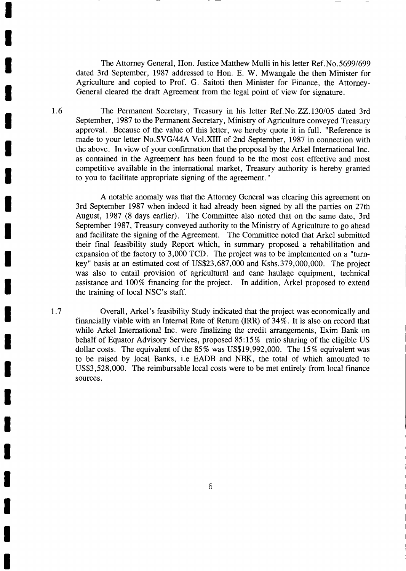The Attorney General, Hon. Justice Matthew Mulli in his letter Ref.No.5699/699 dated 3rd September, 1987 addressed to Hon. E. W. Mwangale the then Minister for Agriculture and copied to Prof. G. Saitoti then Minister for Finance, the Attorney-General cleared the draft Agreement from the legal point of view for signature.

1.6 The Permanent Secretary, Treasury in his letter Ref.No.ZZ.130/05 dated 3rd September, 1987 to the Permanent Secretary, Ministry of Agriculture conveyed Treasury approval. Because of the value of this letter, we hereby quote it in full. "Reference is made to your letter No.SVG/44A Vol.XIII of 2nd September, 1987 in connection with the above. In view of your confirmation that the proposal by the Arkel International Inc. as contained in the Agreement has been found to be the most cost effective and most competitive available in the international market, Treasury authority is hereby granted to you to facilitate appropriate signing of the agreement. "

A notable anomaly was that the Attorney General was clearing this agreement on 3rd September 1987 when indeed it had already been signed by all the parties on 27th August, 1987 (8 days earlier). The Committee also noted that on the same date, 3rd September 1987, Treasury conveyed authority to the Ministry of Agriculture to go ahead and facilitate the signing of the Agreement. The Committee noted that Arkel submitted their final feasibility study Report which, in summary proposed a rehabilitation and expansion of the factory to 3,000 TCD. The project was to be implemented on a "turnkey" basis at an estimated cost of US\$23,687,000 and Kshs.379,000,000. The project was also to entail provision of agricultural and cane haulage equipment, technical assistance and 100% financing for the project. In addition, Arkel proposed to extend the training of local NSC's staff.

Overall, Arkel's feasibility Study indicated that the project was economically and financially viable with an Internal Rate of Return (IRR) of 34%. It is also on record that while Arkel International Inc. were finalizing the credit arrangements, Exim Bank on behalf of Equator Advisory Services, proposed 85:15% ratio sharing of the eligible US dollar costs. The equivalent of the  $85\%$  was US\$19,992,000. The 15% equivalent was to be raised by local Banks, i.e EADB and NBK, the total of which amounted to US\$3,528,000. The reimbursable local costs were to be met entirely from local finance sources.

T

T

I

I

T

T

T

T

I

I

I

T

T

T

T

t

T

t

T

T

I

t.7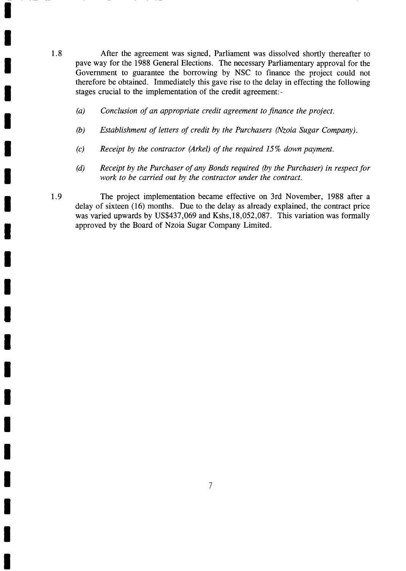- 1.8 After the agreement was signed, Parliament was dissolved shortly thereafter to pave way for the 1988 General Elections. The necessary Parliamentary approval for the Government to guarantee the borrowing by NSC to finance the project could not therefore be obtained. Immediately this gave rise to the delay in effecting the following stages crucial to the implementation of the credit agreement:-
	- (a) Conclusion of an appropriate credit agreement to finance the project.

T

T

T

I

T

T

T

I

I

t

I

I

T

t

I

T

t

T

t

I

t

- (b) Establishment of letters of credit by the Purchasers (Nzoia Sugar Company).
- (c) Receipt by the contractor (Arkel) of the required  $15\%$  down payment.
- (d) Receipt by the Purchaser of any Bonds required (by the Purchaser) in respect for work to be carried out by the contractor under the contract.
- 1.9 The project implementation became effective on 3rd November, 1988 after a delay of sixteen (16) months. Due to the delay as already explained, the contract price was varied upwards by US\$437,069 and Kshs,18,052,087. This variation was formally approved by the Board of Nzoia Sugar Company Limited.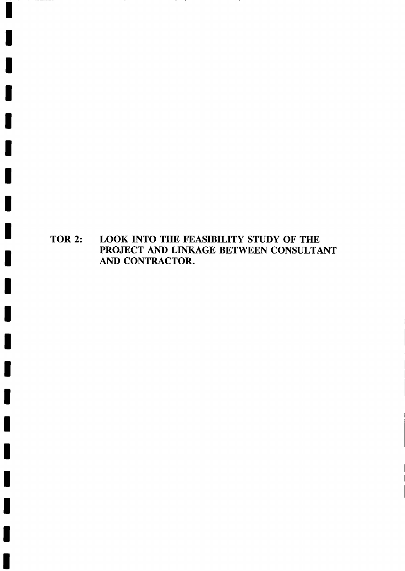TOR 2: LOOK INTO THE FEASIBILITY STUDY OF THE PROJECT AND LINKAGE BETWEEN CONSULTANT AND CONTRACTOR.

 $- - -$   $\hspace{0.1mm}-\hspace{0.1mm}$ 

 $\sim$   $-$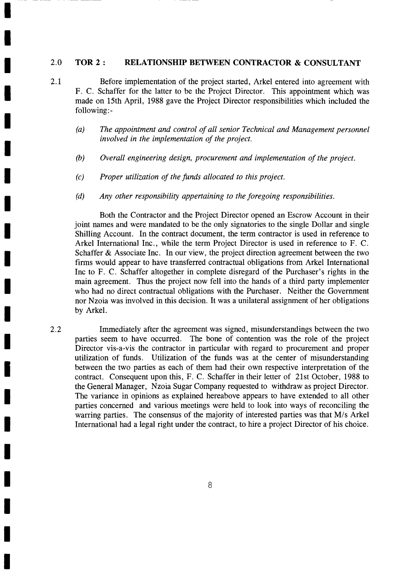#### 2.O TOR 2 : RELATIONSHIP BETWEEN CONTRACTOR & CONSULTANT

- 2.1 Before implementation of the project started, Arkel entered into agreement with F. C. Schaffer for the latter to be the Project Director. This appointment which was made on 15th April, 1988 gave the Project Director responsibilities which included the following:-
	- (a) The appointment and control of all senior Technical and Management personnel involved in the implementation of the project.
	- (b) Overall engineering design, procurement and implementation of the project.
	- (c) Proper utilization of the funds allocated to this project.

I

I

I

I

T

I

I

I

t

T

I

I

I

T

I

T

T

T

T

T

t

(d) Any other responsibility appertaining to the foregoing responsibilities.

Both the Contractor and the Project Director opened an Escrow Account in their joint names and were mandated to be the only signatories to the single Dollar and single Shilling Account. In the contract document, the term contractor is used in reference to Arkel International Inc., while the term Project Director is used in reference to F. C. Schaffer & Associate Inc. In our view, the project direction agreement between the two firms would appear to have transferred contractual obligations from Arkel International Inc to F. C. Schaffer altogether in complete disregard of the Purchaser's rights in the main agreement. Thus the project now fell into the hands of a third party implementer who had no direct contractual obligations with the Purchaser. Neither the Government nor Nzoia was involved in this decision. It was a unilateral assignment of her obligations by Arkel.

Immediately after the agreement was signed, misunderstandings between the two parties seem to have occurred. The bone of contention was the role of the project Director vis-a-vis the contractor in particular with regard to procurement and proper utilization of funds. Utilization of the funds was at the center of misunderstanding between the two parties as each of them had their own respective interpretation of the contract. Consequent upon this, F. C. Schaffer in their letter of 21st October, 1988 to the General Manager, Nzoia Sugar Company requested to withdraw as project Director. The variance in opinions as explained hereabove appears to have extended to all other parties concerned and various meetings were held to look into ways of reconciling the warring parties. The consensus of the majority of interested parties was that M/s Arkel International had a legal right under the contract, to hire a project Director of his choice. 2.2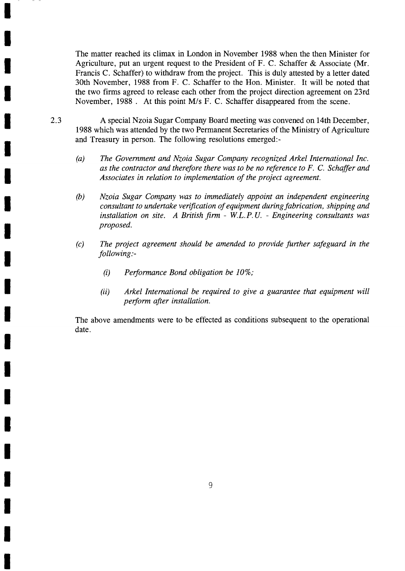The matter reached its climax in London in November 1988 when the then Minister for Agriculture, put an urgent request to the President of F. C. Schaffer & Associate (Mr. Francis C. Schaffer) to withdraw from the project. This is duly attested by a letter dated 30th November, 1988 from F. C. Schaffer to the Hon. Minister. It will be noted that the two firms agreed to release each other from the project direction agreement on 23rd November, 1988 . At this point M/s F. C. Schaffer disappeared from the scene.

- 2.3 A special Nzoia Sugar Company Board meeting was convened on 14th December, 1988 which was attended by the two Permanent Secretaries of the Ministry of Agriculture and Treasury in person. The following resolutions emerged:-
	- (a) The Government and Nzoia Sugar Company recognized Arkel International Inc. as the contractor and therefore there was to be no reference to F. C. Schaffer and Associates in relation to implementation of the project agreement.
	- (b) Nzoia Sugar Company was to immediately appoint an independent engineering consultant to undertake verification of equipment during fabrication, shipping and installation on site. A British firm - W.L.P.U. - Engineering consultants was proposed.
	- (c) The project agreement should be amended to provide further safeguard in the following:-
		- (i) Performance Bond obligation be  $10\%$ ;

I

I

I

I

I

t

I

I

T

t

I

I

T

I

I

I

I

I

T

I

I

(ii) Arkel International be required to give a guarantee that equipment will perform after installation.

The above amendments were to be effected as conditions subsequent to the operational date.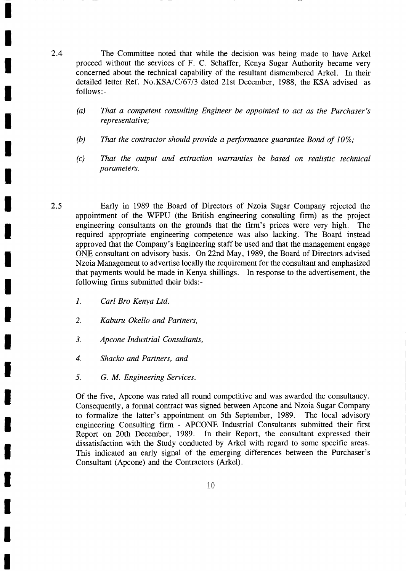- 2.4 The Committee noted that while the decision was being made to have Arkel proceed without the services of F. C. Schaffer, Kenya Sugar Authority became very concerned about the technical capability of the resultant dismembered Arkel. In their detailed letter Ref. No.KSA/C/67/3 dated 21st December, 1988, the KSA advised as follows:-
	- That a competent consulting Engineer be appointed to act as the Purchaser's representative;  $(a)$
	- That the contractor should provide a performance guarantee Bond of 10%; (b)
	- That the output and extraction warranties be based on realistic technical parameters.  $(c)$
- Early in 1989 the Board of Directors of Nzoia Sugar Company rejected the appointment of the WFPU (the British engineering consulting firm) as the project engineering consultants on the grounds that the firm's prices were very high. The required appropriate engineering competence was also lacking. The Board instead approved that the Company's Engineering staff be used and that the management engage ONE consultant on advisory basis. On22rd May, 1989, the Board of Directors advised Nzoia Management to advertise locally the requirement for the consultant and emphasized that payments would be made in Kenya shillings. In response to the advertisement, the following firms submitted their bids:- 2.5
	- 1. Carl Bro Kenya Ltd.

I

I

T

T

I

I

I

T

T

I

I

T

t

I

T

T

I

t

I

T

I

- Kaburu Okello and Partners, 2.
- Apcone Industrial Consultants, 3.
- Shacko and Partners, and 4.
- 5. G. M. Engineering Services.

Of the five, Apcone was rated all round competitive and was awarded the consultancy. Consequently, a formal contract was signed between Apcone and Nzoia Sugar Company to formalize the latter's appointment on 5th September, 1989. The local advisory engineering Consulting firm - APCONE Industrial Consultants submitted their first Report on 20th December, 1989. In their Report, the consultant expressed their dissatisfaction with the Study conducted by Arkel with regard to some specific areas. This indicated an early signal of the emerging differences between the Furchaser's Consultant (Apcone) and the Contractors (Arkel).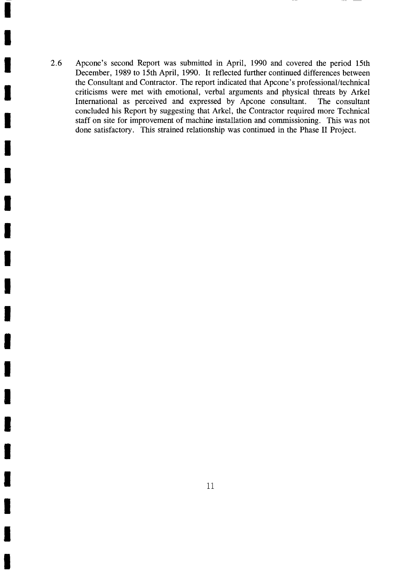2.6 Apcone's second Report was submitted in April, 1990 and covered the period 15th December, 1989 to 15th April, 1990. It reflected further continued differences between the Consultant and Contractor. The report indicated that Apcone's professional/technical criticisms were met with emotional, verbal arguments and physical threats by Arkel International as perceived and expressed by Apcone consultant. The consultant concluded his Report by suggesting that Arkel, the Contractor required more Technical staff on site for improvement of machine installation and commissioning. This was not done satisfactory. This strained relationship was continued in the Phase II Project.

I

t

I

I

I

I

I

t

t

T

I

I

I

t

I

T

t

I

I

I

I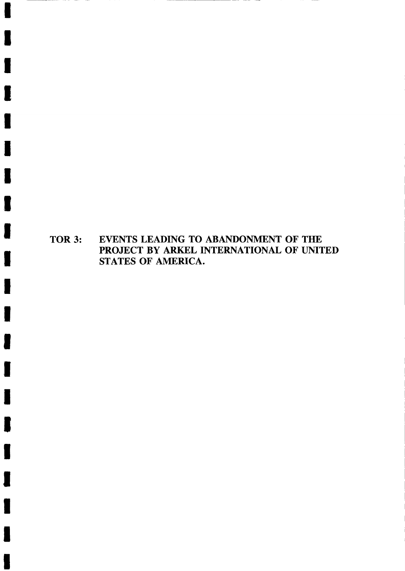TOR 3: EVENTS LEADING TO ABANDONMENT OF THE PROJECT BY ARKEL INTERNATIONAL OF UNITED STATES OF AMERICA.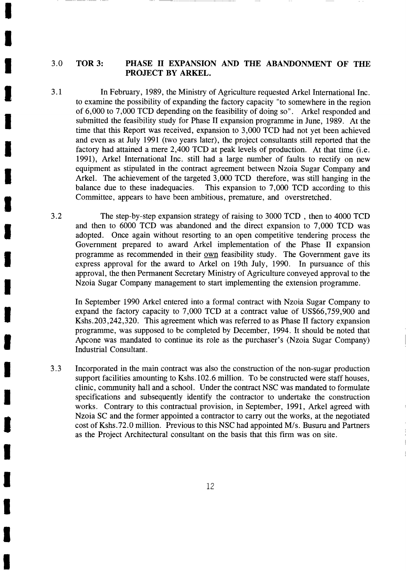#### 3.0 TOR 3: PHASE II EXPANSION AND THE ABANDONMENT OF THE PROJECT BY ARKEL.

3.1 In February, 1989, the Ministry of Agriculture requested Arkel International Inc. to examine the possibility of expanding the factory capacity "to somewhere in the region of 6,000 to 7,000 TCD depending on the feasibility of doing so". Arkel responded and submitted the feasibility study for Phase II expansion programme in June, 1989. At the time that this Report was received, expansion to 3,000 TCD had not yet been achieved and even as at July 1991 (two years later), the project consultants still reported that the factory had attained a mere 2,400 TCD at peak levels of production. At that time (i.e. l99l), Arkel International Inc. still had a large number of faults to rectify on new equipment as stipulated in the contract agreement between Nzoia Sugar Company and Arkel. The achievement of the targeted 3,000 TCD therefore, was still hanging in the balance due to these inadequacies. This expansion to 7,000 TCD according to this Committee, appears to have been ambitious, premature, and overstretched.

The step-by-step expansion strategy of raising to 3000 TCD , then to 4000 TCD and then to 6000 TCD was abandoned and the direct expansion to 7,000 TCD was adopted. Once again without resorting to an open competitive tendering process the Government prepared to award Arkel implementation of the Phase II expansion programme as recommended in their own feasibility study. The Government gave its express approval for the award to Arkel on 19th July, 1990. In pursuance of this approval, the then Permanent Secretary Ministry of Agriculture conveyed approval to the Nzoia Sugar Company management to start implementing the extension programme.

In September 1990 Arkel entered into a formal contract with Nzoia Sugar Company to expand the factory capacity to 7,000 TCD at a contract value of US\$66,759,900 and Kshs.203,242,320. This agreement which was referred to as Phase II factory expansion prograrnme, was supposed to be completed by December, 1994.It should be noted that Apcone was mandated to continue its role as the purchaser's (Nzoia Sugar Company) Industrial Consultant.

Incorporated in the main contract was also the construction of the non-sugar production support facilities amounting to Kshs. 102.6 million. To be constructed were staff houses, clinic, community hall and a school. Under the contract NSC was mandated to formulate specifications and subsequently identify the contractor to undertake the construction works. Contrary to this contractual provision, in September, 1991, Arkel agreed with Nzoia SC and the former appointed a contractor to carry out the works, at the negotiated cost of Kshs.72.0 million. Previous to this NSC had appointed M/s. Busuru and Partners as the Project Architectural consultant on the basis that this firm was on site. J.J

3.2

I

I

I

T

T

I

<u>U</u>

t

I

I

I

t

T

t

I

I

I

I

I

I

I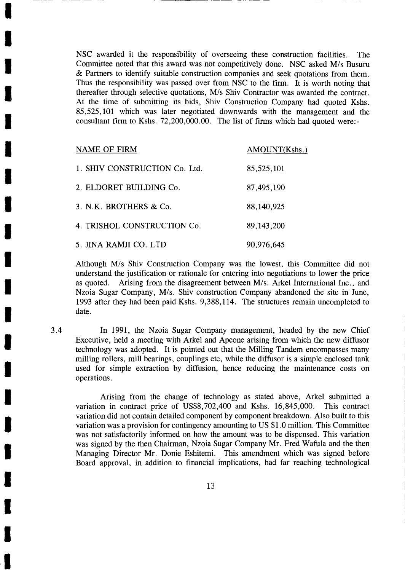NSC awarded it the responsibility of overseeing these construction facilities. The Committee noted that this award was not competitively done. NSC asked M/s Busuru & Partners to identify suitable construction companies and seek quotations from them. Thus the responsibility was passed over from NSC to the firm. It is worth noting that thereafter through selective quotations, M/s Shiv Contractor was awarded the contract. At the time of submitting its bids, Shiv Construction Company had quoted Kshs. 85,525,101 which was later negotiated downwards with the management and the consultant firm to Kshs. 72,200,000.00. The list of firms which had quoted were:-

| <b>NAME OF FIRM</b>           | AMOUNT(Kshs.) |
|-------------------------------|---------------|
| 1. SHIV CONSTRUCTION Co. Ltd. | 85,525,101    |
| 2. ELDORET BUILDING Co.       | 87,495,190    |
| 3. N.K. BROTHERS & Co.        | 88,140,925    |
| 4. TRISHOL CONSTRUCTION Co.   | 89, 143, 200  |
| 5. JINA RAMJI CO. LTD         | 90,976,645    |

3.4

I

I

l

T

I

t

I

I

T

t

I

I

T

I

I

I

I

t

I

I

I

Although M/s Shiv Construction Company was the lowest, this Committee did not understand the justification or rationale for entering into negotiations to lower the price as quoted. Arising from the disagreement between M/s. Arkel International Inc., and Nzoia Sugar Company, M/s. Shiv construction Company abandoned the site in June, 1993 after they had been paid Kshs. 9,388,114. The structures remain uncompleted to date.

In 1991, the Nzoia Sugar Company management, headed by the new Chief Executive, held a meeting with Arkel and Apcone arising from which the new diffusor technology was adopted. It is pointed out that the Milling Tandem encompasses many milling rollers, mill bearings, couplings etc, while the diffusor is a simple enclosed tank used for simple extraction by diffusion, hence reducing the maintenance costs on operations.

Arising from the change of technology as stated above, Arkel submitted <sup>a</sup> variation in contract price of US\$8,702,400 and Kshs. 16,845,000. This contract variation did not contain detailed component by component breakdown. Also built to this variation was a provision for contingency amounting to US \$1.0 million. This Committee was not satisfactorily informed on how the amount was to be dispensed. This variation was signed by the then Chairman, Nzoia Sugar Company Mr. Fred Wafula and the then Managing Director Mr. Donie Eshitemi. This amendment which was signed before Board approval, in addition to financial implications, had far reaching technological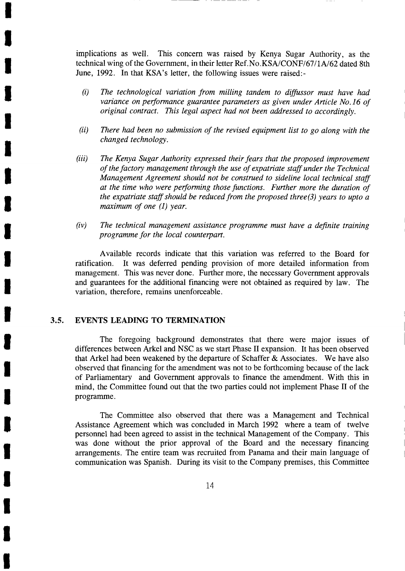implications as well. This concern was raised by Kenya Sugar Authority, as the technical wing of the Government, in their letter Ref.No.KSA/CONF/67/1A/62 dated 8th June, 1992. In that KSA's letter, the following issues were raised:-

- $(i)$  The technological variation from milling tandem to diffussor must have had variance on performance guarantee parameters as given under Article No.16 of original contract. This legal aspect had not been addressed to accordingly.
- $(ii)$  There had been no submission of the revised equipment list to go along with the changed technology.
- (iii) The Kenya Sugar Authority expressed their fears that the proposed improvement of the factory management through the use of expatriate staff under the Technical Management Agreement should not be construed to sideline local technical staff at the time who were performing those functions. Further more the duration of the expatriate staff should be reduced from the proposed three(3) years to upto a maximum of one (1) year.
- (iv) The technical management assistance programme must have a definite training programme for the local counterpart.

Available records indicate that this variation was referred to the Board for ratification. It was deferred pending provision of more detailed information from management. This was never done. Further more, the necessary Government approvals and guarantees for the additional financing were not obtained as required by law. The variation, therefore, remains unenforceable.

## 3.5. EVENTS LEADING TO TERMINATION

I

I

I

T

I

I

I

l,

**U** 

I

I

I

**U** 

I

I

t

I

I

T

I

I

The foregoing background demonstrates that there were major issues of differences between Arkel and NSC as we start Phase II expansion. It has been observed that Arkel had been weakened by the departure of Schaffer & Associates. We have also observed that financing for the amendment was not to be forthcoming because of the lack of Parliamentary and Government approvals to finance the amendment. With this in mind, the Committee found out that the two parties could not implement Phase II of the programme.

The Committee also observed that there was a Management and Technical Assistance Agreement which was concluded in March 1992 where a team of twelve personnel had been agreed to assist in the technical Management of the Company. This was done without the prior approval of the Board and the necessary financing arrangements. The entire team was recruited from Panama and their main language of communication was Spanish. During its visit to the Company premises, this Committee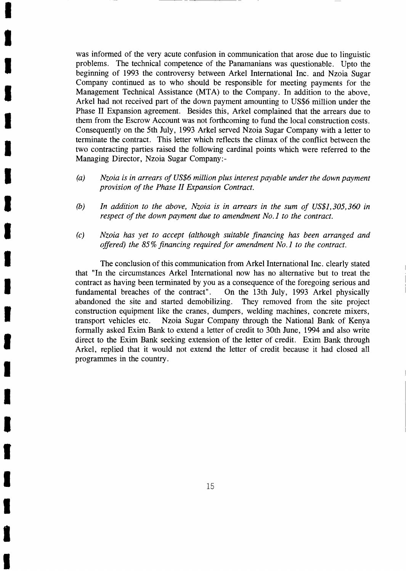was informed of the very acute confusion in communication that arose due to linguistic problems. The technical competence of the Panamanians was questionable. Upto the beginning of 1993 the controversy between Arkel International Inc. and Nzoia Sugar Company continued as to who should be responsible for meeting payments for the Management Technical Assistance (MTA) to the Company. In addition to the above, Arkel had not received part of the down payment amounting to US\$6 million under the Phase II Expansion agreement. Besides this, Arkel complained that the arrears due to them from the Escrow Account was not forthcoming to fund the local construction costs. Consequently on the 5th July, 1993 Arkel served Nzoia Sugar Company with a letter to terminate the contract. This letter which reflects the climax of the conflict between the two contracting parties raised the following cardinal points which were referred to the Managing Director, Nzoia Sugar Company:-

I

I

I

I

I

I

I

Ļ

I

T

I

I

t

**K** 

i,

t

T

I

t

I

I

- (a) Nzoia is in arrears of US\$6 million plus interest payable under the down payment provision of the Phase II Expansion Contract.
- (b) In addition to the above, Nzoia is in arrears in the sum of US\$1,305,360 in respect of the down payment due to amendment No.1 to the contract.
- (c) Nzoia has yet to accept (although suitable financing has been arranged and offered) the 85% financing required for amendment No.l to the contract.

The conclusion of this communication from Arkel International Inc. clearly stated that "In the circumstances Arkel International now has no alternative but to treat the contract as having been terminated by you as a consequence of the foregoing serious and fundamental breaches of the contract". On the 13th July, 1993 Arkel physically abandoned the site and started demobilizing. They removed from the site project construction equipment like the cranes, dumpers, welding machines, concrete mixers, transport vehicles etc. Nzoia Sugar Company through the National Bank of Kenya formally asked Exim Bank to extend a letter of credit to 30th June, 1994 and also write direct to the Exim Bank seeking extension of the letter of credit. Exim Bank through Arkel, replied that it would not extend the letter of credit because it had closed all prograrnmes in the country.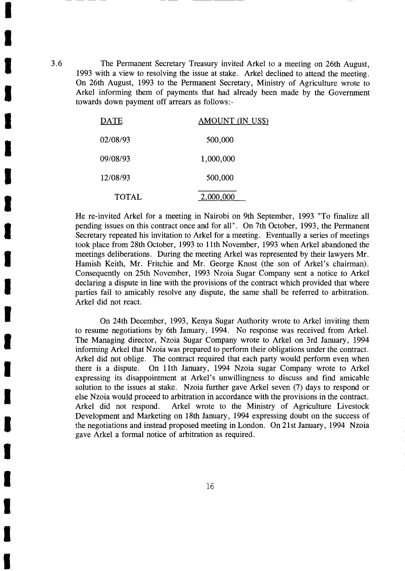The Permanent Secretary Treasury invited Arkel to a meeting on 26th August, 1993 with a view to resolving the issue at stake. Arkel declined to attend the meeting. On 26th August, 1993 to the Permanent Secretary, Ministry of Agriculture wrote to Arkel informing them of payments that had already been made by the Government towards down payment off arrears as follows:-

| <b>DATE</b>  | AMOUNT (IN US\$) |
|--------------|------------------|
| 02/08/93     | 500,000          |
| 09/08/93     | 1,000,000        |
| 12/08/93     | 500,000          |
| <b>TOTAL</b> | 2,000,000        |

He re-invited Arkel for a meeting in Nairobi on 9th September, 1993 "To finalize all pending issues on this contract once and for a11". On 7th October, 1993, the Permanent Secretary repeated his invitation to Arkel for a meeting. Eventually a series of meetings took place from 28th October, 1993 to 1lth November, 1993 when Arkel abandoned the meetings deliberations. During the meeting Arkel was represented by their lawyers Mr. Hamish Keith, Mr. Fritchie and Mr. George Knost (the son of Arkel's chairman). Consequently on 25th November, 1993 Nzoia Sugar Company sent a notice to Arkel declaring a dispute in line with the provisions of the contract which provided that where parties fail to amicably resolve any dispute, the same shall be referred to arbitration. Arkel did not react.

On24th December, 1993, Kenya Sugar Authority wrote to Arkel inviting them to resume negotiations by 6th January, 1994. No response was received from Arkel. The Managing director, Nzoia Sugar Company wrote to Arkel on 3rd January, 1994 informing Arkel that Nzoia was prepared to perform their obligations under the contract. Arkel did not oblige. The contract required that each party would perform even when there is a dispute. On 1lth January, 1994 Nzoia sugar Company wrote to Arkel expressing its disappointment at Arkel's unwillingness to discuss and find amicable solution to the issues at stake. Nzoia further gave Arkel seven (7) days to respond or else Nzoia would proceed to arbitration in accordance with the provisions in the contract. Arkel did not respond. Arkel wrote to the Ministry of Agriculture Livestock Development and Marketing on 18th January, 1994 expressing doubt on the success of the negotiations and instead proposed meeting in London. On 21st January, 1994 Nzoia gave Arkel a formal notice of arbitration as required.

3.6

I

I

I

I

I

I

I

l,

I

T

I

t

**U** 

I

I

I

T

I

T

I

I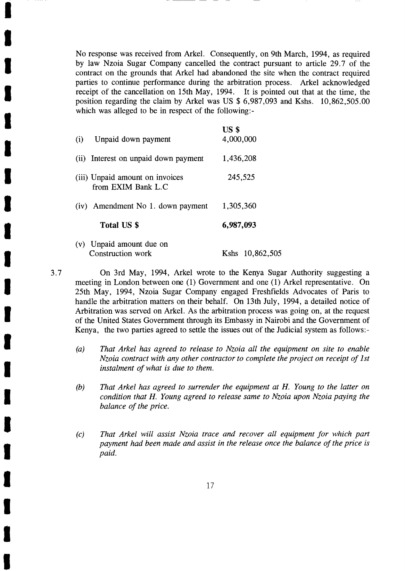No response was received from Arkel. Consequently, on 9th March, 1994, as required by law Nzoia Sugar Company cancelled the contract pursuant to article 29.7 of the contract on the grounds that Arkel had abandoned the site when the contract required parties to continue performance during the arbitration process. Arkel acknowledged receipt of the cancellation on 15th May, 1994. It is pointed out that at the time, the position regarding the claim by Arkel was US \$ 6,987,093 and Kshs. 10,862,505.00 which was alleged to be in respect of the following:-

| Unpaid down payment<br>(i)                            | US <sub>s</sub><br>4,000,000 |
|-------------------------------------------------------|------------------------------|
| (ii) Interest on unpaid down payment                  | 1,436,208                    |
| (iii) Unpaid amount on invoices<br>from EXIM Bank L.C | 245,525                      |
| (iv) Amendment No 1. down payment                     | 1,305,360                    |
| Total US \$                                           | 6,987,093                    |
| (v) Unpaid amount due on<br>Construction work         | Kshs 10,862,505              |

3.7

I

I

T

I

I

t

I

lij<br>E

t

I

I

T

I

T

i.

I

I

I

T

I

I

On 3rd May, L994, Arkel wrote to the Kenya Sugar Authority suggesting <sup>a</sup> meeting in London between one (1) Government and one (1) Arkel representative. On 25th May, 1994, Nzoia Sugar Company engaged Freshfields Advocates of Paris to handle the arbitration matters on their behalf. On 13th July, 1994, a detailed notice of Arbitration was served on Arkel. As the arbitration process was going on, at the request of the United States Government through its Embassy in Nairobi and the Government of Kenya, the two parties agreed to settle the issues out of the Judicial system as follows:-

- $(a)$ That Arkel has agreed to release to Nzoia all the equipment on site to enable Nzoia contract with any other contractor to complete the project on receipt of lst instalment of what is due to them.
- (b) That Arkel has agreed to surrender the equipment at H. Young to the latter on condition that H. Young agreed to release same to Nzoia upon Nzoia paying the balance of the price.
- (c) That Arkel will assist Nzoia trace and recover all equipment for which part payment had been made and assist in the release once the balance of the price is paid.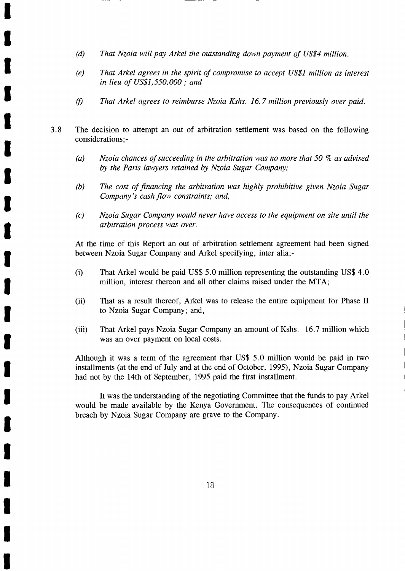(d) That Nzoia will pay Arkel the outstanding down payment of US\$4 million.

I

I

I

T

I

t

I

I

I

I

I

li,

T

T

T

T

I

t

T

I

I

- (e) That Arkel agrees in the spirit of compromise to accept US\$l million as interest in lieu of US\$l,550,000 ; and
- (f) That Arkel agrees to reimburse Nzoia Kshs. 16.7 million previously over paid.
- 3.8 The decision to attempt an out of arbitration settlement was based on the following considerations;-
	- (a) Nzoia chances of succeeding in the arbitration was no more that 50 % as advised by the Paris lawyers retained by Nzoia Sugar Company;
	- (b) The cost of financing the arbitration was highly prohibitive given Nzoia Sugar Company's cash flow constraints; and,
	- (c) Nzoia Sugar Company would never have access to the equipment on site until the arbitration process was over.

At the time of this Report an out of arbitration settlement agreement had been signed between Nzoia Sugar Company and Arkel specifying, inter alia;-

- (i) That Arkel would be paid US\$ 5.0 million representing the outstanding US\$ 4.0 million, interest thereon and all other claims raised under the MTA;
- (ii) That as a result thereof, Arkel was to release the entire equipment for Phase II to Nzoia Sugar Company; and,
- (iii) That Arkel pays Nzoia Sugar Company an amount of Kshs. 16.7 million which was an over payment on local costs.

Although it was a term of the agreement that US\$ 5.0 million would be paid in two installments (at the end of July and at the end of October, 1995), Nzoia Sugar Company had not by the 14th of September, 1995 paid the first installment.

It was the understanding of the negotiating Committee that the funds to pay Arkel would be made available by the Kenya Government. The consequences of continued breach by Nzoia Sugar Company are grave to the Company.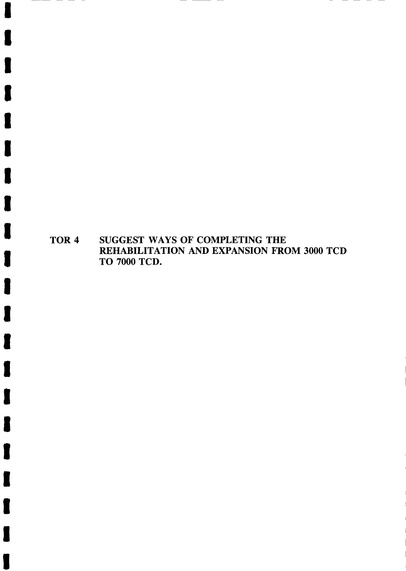TOR 4 SUGGEST WAYS OF COMPLETING THE REHABILITATION AND EXPANSION FROM 3OOO TCD TO TOOO TCD.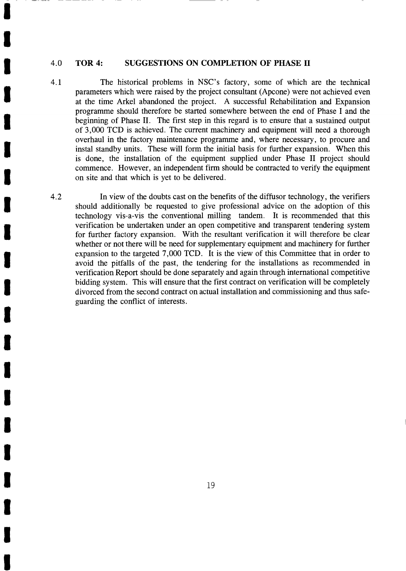#### 4.0 TOR 4: SUGGESTIONS ON COMPLETION OF PHASE II

I

T

I

I

I

I

I

T

I

T

I

T

I

I

T

T

T

T

T

T

I

4.1 The historical problems in NSC's factory, some of which are the technical parameters which were raised by the project consultant (Apcone) were not achieved even at the time Arkel abandoned the project. A successful Rehabilitation and Expansion prograrnme should therefore be started somewhere between the end of Phase I and the beginning of Phase II. The first step in this regard is to ensure that a sustained output of 3,000 TCD is achieved. The current machinery and equipment will need a thorough overhaul in the factory maintenance programme and, where necessary, to procure and instal standby units. These will form the initial basis for further expansion. When this is done, the installation of the equipment supplied under Phase II project should commence. However, an independent firm should be contracted to verify the equipment on site and that which is yet to be delivered.

4.2 In view of the doubts cast on the benefits of the diffusor technology, the verifiers should additionally be requested to give professional advice on the adoption of this technology vis-a-vis the conventional milling tandem. It is recommended that this verification be undertaken under an open competitive and transparent tendering system for further factory expansion. With the resultant verification it will therefore be clear whether or not there will be need for supplementary equipment and machinery for further expansion to the targeted 7,000 TCD. It is the view of this Committee that in order to avoid the pitfalls of the past, the tendering for the installations as recommended in verification Report should be done separately and again through international competitive bidding system. This will ensure that the first contract on verification will be completely divorced from the second contract on actual installation and commissioning and thus safeguarding the conflict of interests.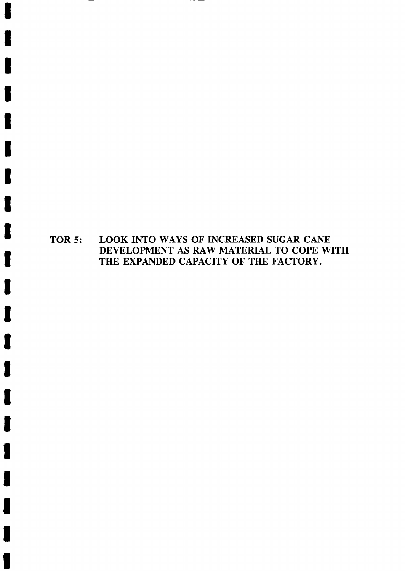# TOR 5: LOOK INTO WAYS OF INCREASED SUGAR CANE<br>DEVELOPMENT AS RAW MATERIAL TO COPE WITH<br>THE EXPANDED CAPACITY OF THE FACTORY.

 $\cdot$   $-$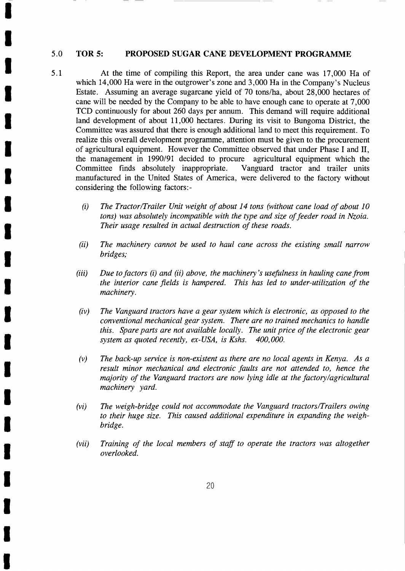#### 5.0 TOR 5: PROPOSED SUGAR CANE DEYELOPMENT PROGRAMME

I

I

I

I

I

t

T

I

t

t

t

T

T

t

t

Ļ

I

t

T

T

I

- 5.1 At the time of compiling this Report, the area under cane was 17,000 Ha of which 14,000 Ha were in the outgrower's zone and 3,000 Ha in the Company's Nucleus Estate. Assuming an average sugarcane yield of 70 tons/ha, about 28,000 hectares of cane will be needed by the Company to be able to have enough cane to operate at 7,000 TCD continuously for about 260 days per annum. This demand will require additional land development of about 11,000 hectares. During its visit to Bungoma District, the Committee was assured that there is enough additional land to meet this requirement. To realize this overall development programme, attention must be given to the procurement of agricultural equipment. However the Committee observed that under Phase I and II, the management in 1990/91 decided to procure agricultural equipment which the Committee finds absolutely inappropriate. Vanguard tractor and trailer units manufactured in the United States of America, were delivered to the factory without considering the following factors:-
	- (i) The Tractor/Trailer Unit weight of about 14 tons (without cane load of about l0 tons) was absolutely incompatible with the type and size of feeder road in Nzoia. Their usage resulted in actual destruction of these roads.
	- (ii) The machinery cannot be used to haul cane across the existing small narrow bridges;
	- $(iii)$  Due to factors  $(i)$  and  $(ii)$  above, the machinery's usefulness in hauling cane from the interior cane fields is hampered. This has led to under-utilization of the machinery.
	- (iv) The Vanguard tractors have a gear system which is electronic, as opposed to the conventional mechanical gear system. There are no trained mechanics to handle this. Spare parts are not available locally. The unit price of the electronic gear system as quoted recently, ex-USA, is Kshs. 400,000.
	- (v) The back-up service is non-existent as there are no local agents in Kenya. As <sup>a</sup> result minor mechanical and electronic faults are not attended to, hence the majority of the Vanguard tractors are now lying idle at the factory/agricultural machinery yard.
	- (vil The weigh-bridge could not accommodate the Vanguard tractors/Trailers owing to their huge size. This caused additional expenditure in expanding the weighbridge.
	- (vii) Training of the local members of staff to operate the tractors was altogether overlooked.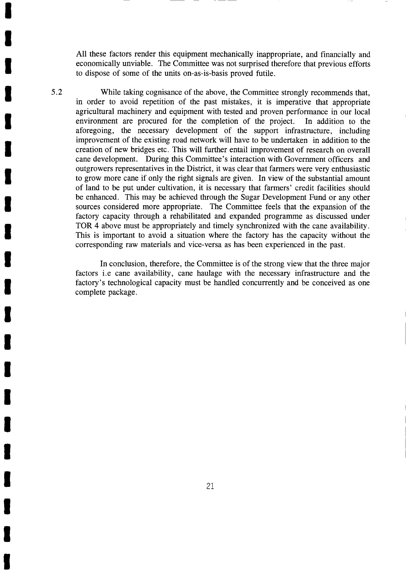All these factors render this equipment mechanically inappropriate, and financially and economically unviable. The Committee was not surprised therefore that previous efforts to dispose of some of the units on-as-is-basis proved futile.

T

T

I

T

5.2

I

T

T

I

t

I

T

T

t

I

I

Ļ

I

I

T

T

T

While taking cognisance of the above, the Committee strongly recommends that, in order to avoid repetition of the past mistakes, it is imperative that appropriate agricultural machinery and equipment with tested and proven performance in our local environment are procured for the completion of the project. In addition to the aforegoing, the necessary development of the support infrastructure, including improvement of the existing road network will have to be undertaken in addition to the creation of new bridges etc. This will further entail improvement of research on overall cane development. During this Committee's interaction with Government officers and outgrowers representatives in the District, it was clear that farmers were very enthusiastic to grow more cane if only the right signals are given. In view of the substantial amount of land to be put under cultivation, it is necessary that farmers' credit facilities should be enhanced. This may be achieved through the Sugar Development Fund or any other sources considered more appropriate. The Committee feels that the expansion of the factory capacity through a rehabilitated and expanded programme as discussed under TOR 4 above must be appropriately and timely synchronized with the cane availability. This is important to avoid a situation where the factory has the capacity without the corresponding raw materials and vice-versa as has been experienced in the past.

In conclusion, therefore, the Committee is of the strong view that the three major factors i.e cane availability, cane haulage with the necessary infrastructure and the factory's technological capacity must be handled concurrently and be conceived as one complete package.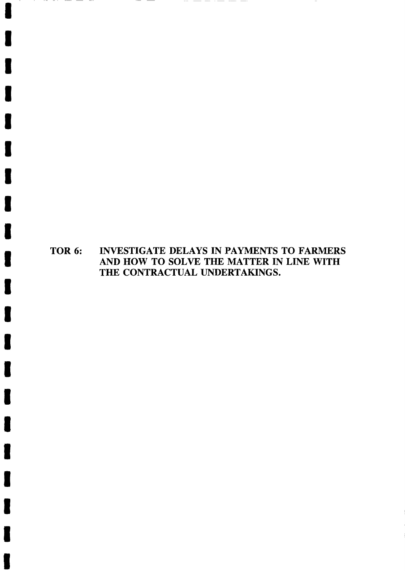TOR 6: INVESTIGATE DELAYS IN PAYMENTS TO FARMERS AND HOW TO SOLVE THE MATTER IN LINE WITH THE CONTRACTUAL UNDERTAKINGS.

\_\_\_\_\_\_

T

 $-$ 

 $\overline{\phantom{a}}$  $\overbrace{\hspace{25mm}}^{}$ 

t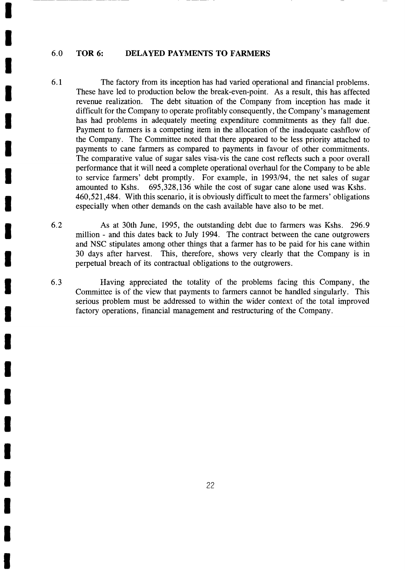#### 6.0 TOR 6: DELAYED PAYMENTS TO FARMERS

I

T

I

t

I

T

T

I

I

I

T

T

I

T

t

t

t

T

t

T

- 6.1 The factory from its inception has had varied operational and financial problems. These have led to production below the break-even-point. As a result, this has affected revenue realization. The debt situation of the Company from inception has made it difficult for the Company to operate profitably consequently, the Company's management has had problems in adequately meeting expenditure commitments as they fall due. Payment to farmers is a competing item in the allocation of the inadequate cashflow of the Company. The Committee noted that there appeared to be less priority attached to payments to cane farmers as compared to payments in favour of other commitments. The comparative value of sugar sales visa-vis the cane cost reflects such a poor overall performance that it will need a complete operational overhaul for the Company to be able to service farmers' debt promptly. For example, in 1993194, the net sales of sugar amounted to Kshs. 695,328,136 while the cost of sugar cane alone used was Kshs. 460,521,484. With this scenario, it is obviously difficult to meet the farmers' obligations especially when other demands on the cash available have also to be met.
- As at 30th June, 1995, the outstanding debt due to farmers was Kshs. 296.9 million - and this dates back to July 1994. The contract between the cane outgrowers and NSC stipulates among other things that a farmer has to be paid for his cane within 30 days after harvest. This, therefore, shows very clearly that the Company is in perpetual breach of its contractual obligations to the outgrowers. 6.2
- Having appreciated the totality of the problems facing this Company, the Committee is of the view that payments to farmers cannot be handled singularly. This serious problem must be addressed to within the wider context of the total improved factory operations, financial management and restructuring of the Company. 6.3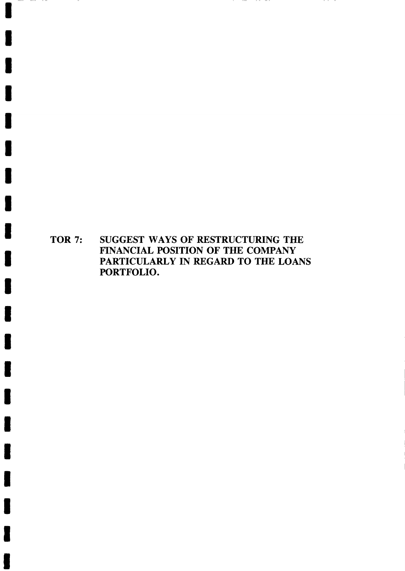TOR 7: SUGGEST WAYS OF RESTRUCTURING THE FINANCIAL POSITION OF THE COMPANY PARTICULARLY IN REGARD TO THE LOANS PORTFOLIO.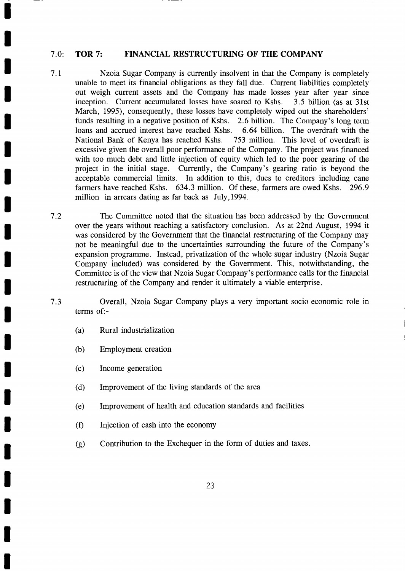#### 7.0: TOR 7: FINANCIAL RESTRUCTURING OF THE COMPANY

- 7.1 Nzoia Sugar Company is currently insolvent in that the Company is completely unable to meet its financial obligations as they fall due. Current liabilities completely out weigh current assets and the Company has made losses year after year since inception. Current accumulated losses have soared to Kshs. 3.5 billion (as at 31st March, 1995), consequently, these losses have completely wiped out the shareholders' funds resulting in a negative position of Kshs. 2.6 billion. The Company's long term loans and accrued interest have reached Kshs. 6.64 billion. The overdraft with the National Bank of Kenya has reached Kshs. 753 million. This level of overdraft is excessive given the overall poor perfornance of the Company. The project was financed with too much debt and little injection of equity which led to the poor gearing of the project in the initial stage. Currently, the Company's gearing ratio is beyond the acceptable commercial limits. In addition to this, dues to creditors including cane farmers have reached Kshs. 634.3 million. Of these, farmers are owed Kshs. 296.9 million in arrears dating as far back as July, 1994.
- The Committee noted that the situation has been addressed by the Government over the years without reaching a satisfactory conclusion. As at 22nd Augast, 1994 it was considered by the Government that the financial restructuring of the Company may not be meaningful due to the uncertainties surrounding the future of the Company's expansion programme. Instead, privatization of the whole sugar industry (Nzoia Sugar Company included) was considered by the Government. This, notwithstanding, the Committee is of the view that Nzoia Sugar Company's performance calls for the financial restructuring of the Company and render it ultimately a viable enterprise. 7.2
- Overall, Nzoia Sugar Company plays a very important socio-economic role in terms of:- 7.3
	- (a) Rural industrialization

T

I

T

T

T

T

t

T

T

T

I

t

T

I

T

T

t

T

I

T

I

- (b) Employment creation
- (c) Income generation
- (d) Improvement of the living standards of the area
- (e) Improvement of health and education standards and facilities
- $(f)$ Injection of cash into the economy
- (g) Contribution to the Exchequer in the form of duties and taxes.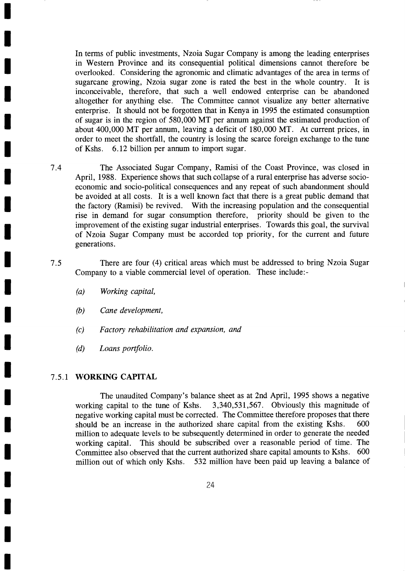In terms of public investments, Nzoia Sugar Company is among the leading enterprises in Western Province and its consequential political dimensions cannot therefore be overlooked. Considering the agronomic and climatic advantages of the area in terms of sugarcane growing, Nzoia sugar zone is rated the best in the whole country. It is inconceivable, therefore, that such a well endowed enterprise can be abandoned altogether for anything else. The Committee cannot visualize any better alternative enterprise. It should not be forgotten that in Kenya in 1995 the estimated consumption of sugar is in the region of 580,000 MT per annum against the estimated production of about 400,000 MT per annum, leaving a deficit of 180,000 MT. At current prices, in order to meet the shortfall, the country is losing the scarce foreign exchange to the tune of Kshs. 6.12 billion per annum to import sugar.

- 7.4 The Associated Sugar Company, Ramisi of the Coast Province, was closed in April, 1988. Experience shows that such collapse of a rural enterprise has adverse socioeconomic and socio-political consequences and any repeat of such abandonment should be avoided at all costs. It is a well known fact that there is a great public demand that the factory (Ramisi) be revived. With the increasing population and the consequential rise in demand for sugar consumption therefore, priority should be given to the improvement of the existing sugar industrial enterprises. Towards this goal, the survival of Nzoia Sugar Company must be accorded top priority, for the current and future generations.
- There are four (4) critical areas which must be addressed to bring Nzoia Sugar Company to a viable commercial level of operation. These include:- 7.5
	- (a) Working capital,

I

T

T

T

I

I

T

T

I

t

I

I

T

I

I

T

t

t

I

T

I

- (b) Cane development,
- (c) Factory rehabilitation and expansion, and
- (d) Loans portfolio.

### <sup>7</sup>,5.1 WORKING CAPITAL

The unaudited Company's balance sheet as at 2nd April, 1995 shows a negative working capital to the tune of Kshs. 3,340,531,567. Obviously this magnitude of negative working capital must be corrected. The Committee therefore proposes that there should be an increase in the authorized share capital from the existing Kshs. <sup>600</sup> million to adequate levels to be subsequently determined in order to generate the needed working capital. This should be subscribed over a reasonable period of time. The Committee also observed that the current authorized share capital amounts to Kshs. 600 million out of which only Kshs. 532 million have been paid up leaving a balance of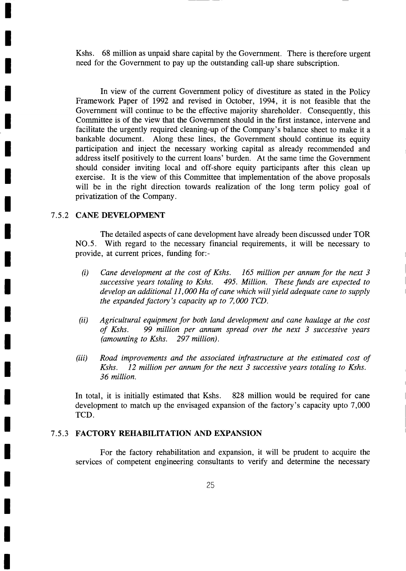Kshs. 68 million as unpaid share capital by the Government. There is therefore urgent need for the Government to pay up the outstanding call-up share subscription.

In view of the current Government policy of divestiture as stated in the Policy Framework Paper of 1992 and revised in October, 1994, it is not feasible that the Government will continue to be the effective majority shareholder. Consequently, this Committee is of the view that the Government should in the first instance, intervene and facilitate the urgently required cleaning-up of the Company's balance sheet to make it a bankable document. Along these lines, the Government should continue its equity participation and inject the necessary working capital as already recommended and address itself positively to the current loans' burden. At the same time the Government should consider inviting local and off-shore equity participants after this clean up exercise. It is the view of this Committee that implementation of the above proposals will be in the right direction towards realization of the long term policy goal of privatization of the Company.

## 7.5.2 CANE DEVELOPMENT

T

I

I

I

I

I

t

I

T

I

I

I

I

t

I

|<br>|

I

I

I

I

I

The detailed aspects of cane development have already been discussed under TOR NO.5. With regard to the necessary financial requirements, it will be necessary to provide, at current prices, funding for:-

- (i) Cane development at the cost of Kshs.  $\,$  165 million per annum for the next 3 successive years totaling to Kshs. 495. Million. These funds are expected to develop an additional  $11,000$  Ha of cane which will yield adequate cane to supply the expanded factory's capacity up to  $7,000$  TCD.
- $(ii)$ Agricultural equipment for both land development and cane haulage at the cost of Kshs. 99 million per annum spread over the next 3 successive vears 99 million per annum spread over the next  $\beta$  successive years (amounting to Kshs. 297 million).
- (iii) Road improvements and the associated infrastructure at the estimated cost of Kshs. 12 million per annum for the next 3 successive years totaling to Kshs. 36 million.

In total, it is initially estimated that Kshs. 828 million would be required for cane development to match up the envisaged expansion of the factory's capacity upto 7,000 TCD.

### <sup>7</sup>.5.3 FACTORY REHABILITATION AND EXPANSION

For the factory rehabilitation and expansion, it will be prudent to acquire the services of competent engineering consultants to verify and determine the necessary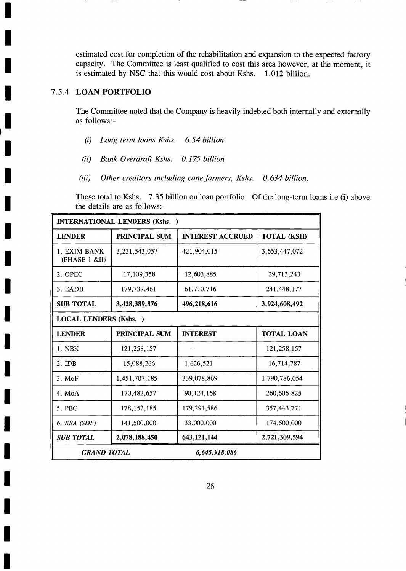estimated cost for completion of the rehabilitation and expansion to the expected factory capacity. The Committee is least qualified to cost this area however, at the moment, it is estimated by NSC that this would cost about Kshs. 1.012 billion.

## I 7 .s.4 LoAN PoRrFoLro

t

T

t

T

I

I

T

I

t

I

I

I

t

I

I

T

I

T

as follows:-The Committee noted that the Company is heavily indebted both internally and externally

- (i) Long term loans Kshs. 6.54 billion
- (ii) Bank Overdrafi Kshs. 0.175 billion
- (iii) Other creditors including cane farmers, Kshs. 0.634 billion.

These total to Kshs. 7.35 billion on loan portfolio. Of the long-term loans i.e (i) above the details are as follows:-

| <b>INTERNATIONAL LENDERS (Kshs.)</b> |                                     |                         |                    |  |
|--------------------------------------|-------------------------------------|-------------------------|--------------------|--|
| <b>LENDER</b>                        | PRINCIPAL SUM                       | <b>INTEREST ACCRUED</b> | <b>TOTAL (KSH)</b> |  |
| 1. EXIM BANK<br>(PHASE 1 &II)        | 3,231,543,057                       | 421,904,015             | 3,653,447,072      |  |
| 2. OPEC                              | 17,109,358                          | 12,603,885              | 29,713,243         |  |
| 3. EADB                              | 179,737,461                         | 61,710,716              | 241,448,177        |  |
| <b>SUB TOTAL</b>                     | 3,428,389,876                       | 496,218,616             | 3,924,608,492      |  |
| <b>LOCAL LENDERS (Kshs.)</b>         |                                     |                         |                    |  |
| <b>LENDER</b>                        | <b>PRINCIPAL SUM</b>                | <b>INTEREST</b>         | <b>TOTAL LOAN</b>  |  |
| 1. NBK                               | 121,258,157                         |                         | 121,258,157        |  |
| $2.$ IDB                             | 15,088,266                          | 1,626,521               | 16,714,787         |  |
| $3.$ MoF                             | 1,451,707,185                       | 339,078,869             | 1,790,786,054      |  |
| 4. MoA                               | 170,482,657                         | 90, 124, 168            | 260,606,825        |  |
| 5. PBC                               | 178, 152, 185                       | 179,291,586             | 357,443,771        |  |
| 6. KSA (SDF)                         | 141,500,000                         | 33,000,000              | 174,500,000        |  |
| <b>SUB TOTAL</b>                     | 2,078,188,450                       | 643,121,144             | 2,721,309,594      |  |
|                                      | 6,645,918,086<br><b>GRAND TOTAL</b> |                         |                    |  |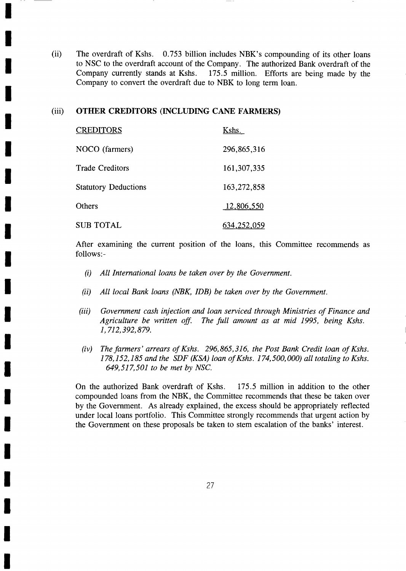(ii) The overdraft of Kshs.  $0.753$  billion includes NBK's compounding of its other loans to NSC to the overdraft account of the Company. The authorized Bank overdraft of the Company currently stands at Kshs. 175.5 million. Efforts are being made by the  $175.5$  million. Efforts are being made by the Company to convert the overdraft due to NBK to long term loan.

## (iii) OTHER CREDITORS (INCLUDING CANE FARMERS)

T

I

I

I

I

I

I

t

**.** 

| Œ            | <b>CREDITORS</b>            | Kshs.         |
|--------------|-----------------------------|---------------|
| $\mathbf{r}$ | NOCO (farmers)              | 296,865,316   |
|              | <b>Trade Creditors</b>      | 161, 307, 335 |
|              | <b>Statutory Deductions</b> | 163,272,858   |
| $\mathbf{r}$ | Others                      | 12,806,550    |
|              | <b>SUB TOTAL</b>            | 634,252,059   |
|              |                             |               |

After examining the current position of the loans, this Committee recommends as follows:-

- (i) All International loans be taken over by the Government.
- $(ii)$  All local Bank loans (NBK, IDB) be taken over by the Government.
- (iii) Government cash injection and loan serviced through Ministries of Finance and<br>Agriculture be written off. The full amount as at mid 1995, being Kshs. 1,712,392,879.
- $(iv)$  The farmers' arrears of Kshs. 296,865,316, the Post Bank Credit loan of Kshs. 649,517,501 to be met by NSC.  $178, 152, 185$  and the SDF (KSA) loan of Kshs.  $174, 500, 000$ ) all totaling to Kshs.

On the authorized Bank overdraft of Kshs. 175.5 million in addition to the other compounded loans from the NBK, the Committee recommends that these be taken over by the Government. As already explained, the excess should be appropriately reflected under local loans portfolio. This Committee strongly recommends that urgent action by the Government on these proposals be taken to stem escalation of the banks' interest.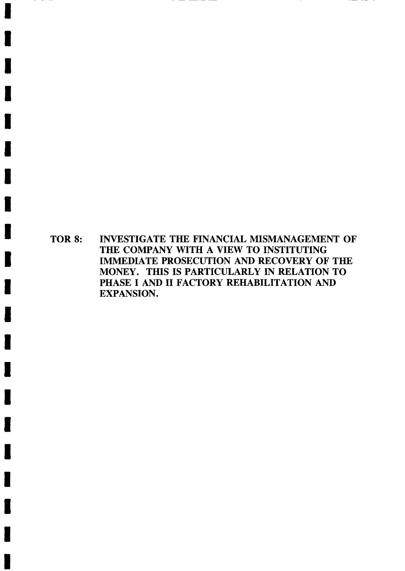TOR 8: INVESTIGATE THE FINANCIAL MISMANAGEMENT OF THE COMPANY WITH A VIEW TO INSTITUTING IMMEDIATE PROSECUTION AND RECOVERY OF THE MONEY. THIS IS PARTICULARLY IN RELATION TO PHASE I AND II FACTORY REHABILITATION AND EXPANSION.

 $\cdots$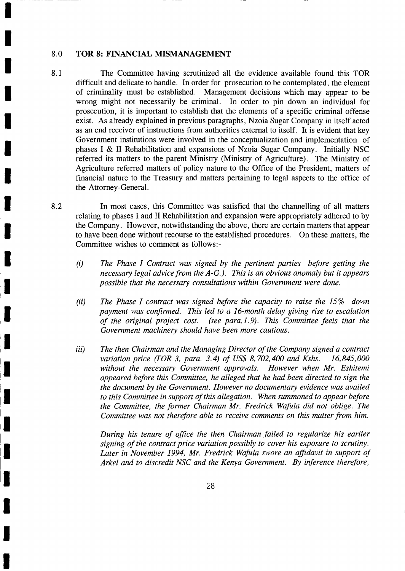#### 8.0 TOR 8: FINANCIAL MISMANAGEMENT

T

T

I

I

I

T

I

t

T

T

t

T

I

<u>s</u>

I

T

I

I

t

T

I

- 8.1 The Committee having scrutinized all the evidence available found this TOR difficult and delicate to handle. In order for prosecution to be contemplated, the element of criminality must be established. Management decisions which may appear to be wrong might not necessarily be criminal. In order to pin down an individual for prosecution, it is important to establish that the elements of a specific criminal offense exist. As already explained in previous paragraphs, Nzoia Sugar Company in itself acted as an end receiver of instructions from authorities external to itself. It is evident that key Government institutions were involved in the conceptualization and implementation of phases I & II Rehabilitation and expansions of Nzoia Sugar Company. Initially NSC referred its matters to the parent Ministry (Ministry of Agriculture). The Ministry of Agriculture referred matters of policy nature to the Office of the President, matters of financial nature to the Treasury and matters pertaining to legal aspects to the office of the Attorney-General.
- In most cases, this Committee was satisfied that the channelling of all matters relating to phases I and II Rehabilitation and expansion were appropriately adhered to by the Company. However, notwithstanding the above, there are certain matters that appear to have been done without recourse to the established procedures. On these matters, the Committee wishes to comment as follows:- 8.2
	- The Phase I Contract was signed by the pertinent parties before getting the necessary legal advice from the A-G.). This is an obvious anomaly but it appears possible that the necessary consultations within Government were done. (i)
	- (ii) The Phase I contract was signed before the capacity to raise the 15% down payment was confirmed. This led to a l6-month delay giving rise to escalation of the original project cost. (see para.l.9). This Committee feels that the Government machinery should have been more cautious.
	- The then Chairman and the Managing Director of the Company signed a contract variation price (TOR 3, para. 3.4) of US\$ 8,702,400 and Kshs.  $16,845,000$ without the necessary Government approvals. However when Mr. Eshitemi appeared before this Committee, he alleged that he had been directed to sign the the document by the Government. However no documentary evidence was availed to this Committee in support of this allegation. When summoned to appear before the Committee, the former Chairman Mr. Fredrick Wafula did not oblige. The Committee was not therefore able to receive comments on this matter from him. iii)

During his tenure of office the then Chairman failed to regularize his earlier signing of the contract price variation possibly to cover his exposure to scrutiny. Later in November 1994, Mr. Fredrick Wafula swore an affidavit in support of Arkel and to discredit NSC and the Kenya Government. By inference therefore,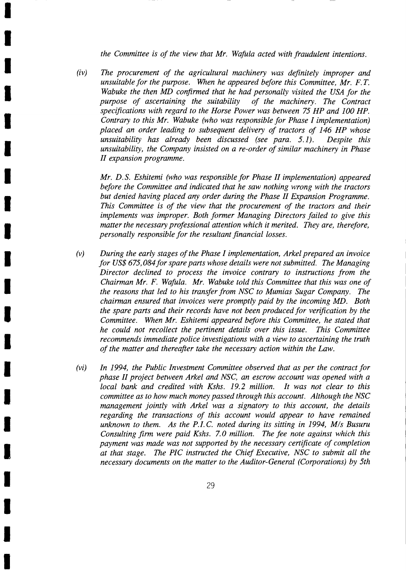the Committee is of the view that Mr. Wafula acted with fraudulent intentions.

T

T

T

I

I

**U** 

t

I

I

I

l

I

I

l,

l

t

I

t

T

T

I

 $(iv)$ The procurement of the agricultural machinery was definitely improper and unsuitable for the purpose. When he appeared before this Committee,  $Mr. F. T.$ Wabuke the then MD confirmed that he had personally visited the USA for the purpose of ascertaining the suitability of the machinery. The Contract purpose of ascertaining the suitability specifications with regard to the Horse Power was between 75 HP and 100 HP. Contrary to this Mr. Wabuke (who was responsible for Phase I implementation) placed an order leading to subsequent delivery of tractors of 146 HP whose unsuitability has already been discussed (see para. 5.1). Despite this unsuitability, the Company insisted on a re-order of similar machinery in Phase II expansion programme.

Mr. D.S. Eshitemi (who was responsible for Phase II implementation) appeared before the Committee and indicated that he saw nothing wrong with the tractors but denied having placed any order during the Phase II Expansion Programme. This Committee is of the view that the procurement of the tractors and their implements was improper. Both former Managing Directors failed to give this matter the necessary professional attention which it merited. They are, therefore, personally responsible for the resultant financial losses.

- $(v)$ During the early stages of the Phase I implementation, Arkel prepared an invoice for US\$ 675,084 for spare parts whose details were not submitted. The Managing Director declined to process the invoice contrary to instructions from the Chairman Mr. F. Wafula. Mr. Wabuke told this Committee that this was one of the reasons that led to his transfer from NSC to Mumias Sugar Company. The chairman ensured that invoices were promptly paid by the incoming MD. Both the spare parts and their records have not been produced for verification by the Committee. When Mr. Eshitemi appeared before this Committee, he stated that he could not recollect the pertinent details over this issue. This Committee recommends immediate police investigations with a view to ascertaining the truth of the matter and thereafier take the necessary action within the Law.
- (vi) In 1994, the Public Investment Committee observed that as per the contract for phase II project between Arkel and NSC, an escrow account was opened with a local bank and credited with Kshs. 19.2 million. It was not clear to this committee as to how much money passed through this account. Although the NSC management jointly with Arkel was a signatory to this account, the details regarding the transactions of this account would appear to have remained unknown to them. As the P.LC. noted during its sitting in 1994, M/s Busuru Consulting firm were paid Kshs. 7.0 million. The fee note against which this payment was made was not supported by the necessary certificate of completion at that stage. The PIC instructed the Chief Executive, NSC to submit all the necessary documents on the matter to the Auditor-General (Corporations) by 5th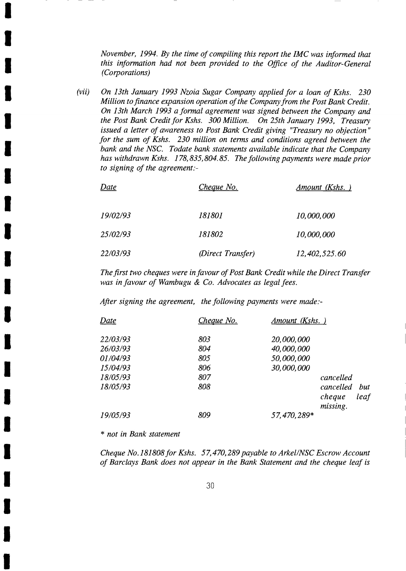November, 1994. By the time of compiling this report the IMC was informed that this information had not been provided to the Office of the Auditor-General (Corporations)

(vii) On 13th January 1993 Nzoia Sugar Company applied for a loan of Kshs. <sup>230</sup> Million to finance expansion operation of the Company from the Post Bank Credit. On 13th March 1993 a formal agreement was signed between the Company and the Post Bank Credit for Kshs. 300 Million. On 25th January 1993, Treasury issued a letter of awareness to Post Bank Credit giving "Treasury no objection" for the sum of Kshs. 230 million on terrns and conditions agreed between the bank and the NSC. Todate bank statements available indicate that the Company has withdrawn Kshs. 178,835,804.85. The following payments were made prior to signing of the agreement:-

| Date     | Cheque No.        | Amount (Kshs.) |
|----------|-------------------|----------------|
| 19/02/93 | <i>181801</i>     | 10,000,000     |
| 25/02/93 | 181802            | 10,000,000     |
| 22/03/93 | (Direct Transfer) | 12,402,525.60  |

The first two cheques were in favour of Post Bank Credit while the Direct Transfer was in favour of Wambugu & Co. Advocates as legal fees.

Afier signing the agreement, the following payments were made:-

| Date                 | Cheque No. | Amount (Kshs.)                                 |
|----------------------|------------|------------------------------------------------|
| 22/03/93             | 803        | 20,000,000                                     |
| 26/03/93<br>01/04/93 | 804<br>805 | 40,000,000<br>50,000,000                       |
| 15/04/93             | 806        | 30,000,000                                     |
| 18/05/93             | 807        | cancelled                                      |
| 18/05/93             | 808        | cancelled<br>but<br>leaf<br>cheque<br>missing. |
| 19/05/93             | 809        | 57,470,289*                                    |

\* not in Bank statement

I

I

I

I

t

T

I

I

t

I

t

t

t

T

I

I

I

I

I

t

I

Cheque No.181808 for Kshs. 57,470,289 payable to Arkel/NSC Escrow Account of Barclays Bank does not appear in the Bank Statement and the cheque leaf is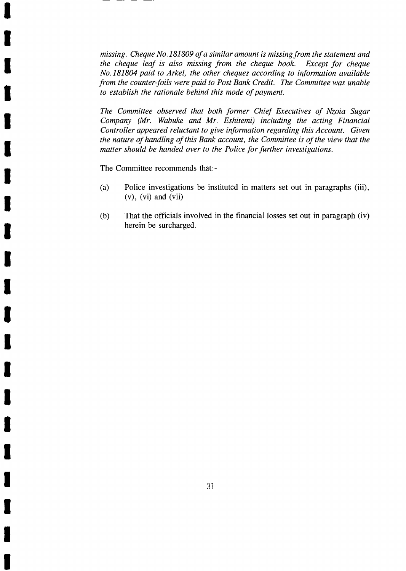missing. Cheque No.181809 of a similar amount is missing from the statement and<br>the cheque leaf is also missing from the cheque book. Except for cheque the cheque leaf is also missing from the cheque book. No.181804 paid to Arkel, the other cheques according to information available from the counter-foils were paid to Post Bank Credit. The Committee was unable to establish the rationale behind this mode of payment.

The Committee observed that both former Chief Executives of Nzoia Sugar Company (Mr. Wabuke and Mr. Eshitemi) including the acting Financial Controller appeared reluctant to give information regarding this Account. Given the nature of handling of this Bank account, the Committee is of the view that the matter should be handed over to the Police for further investigations.

The Committee recommends that:-

I

T

I

I

I

T

t

I

I

I

I

t

I

T

T

I

I

I

I

I

- (a) Police investigations be instituted in matters set out in paragraphs (iii),  $(v)$ ,  $(vi)$  and  $(vii)$
- (b) That the officials involved in the financial losses set out in paragraph (iv) herein be surcharged.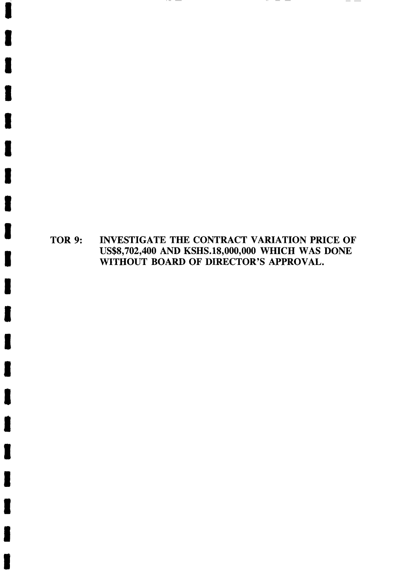TOR 9: INVESTIGATE THE CONTRACT VARIATION PRICE OF us\$8,702,400 AND KSHS.18,000,000 WHICH WAS DONE WITHOUT BOARD OF DIRECTOR'S APPROVAL.

 $\overline{\phantom{a}}$  $\overline{\phantom{a}}$   $-$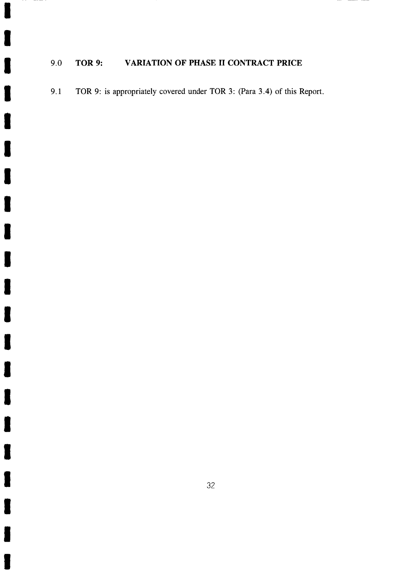## 9.0 TOR 9: VARIATION OF PHASE II CONTRACT PRICE

9.1 TOR 9: is appropriately covered under TOR 3: (Para 3.4) of this Report.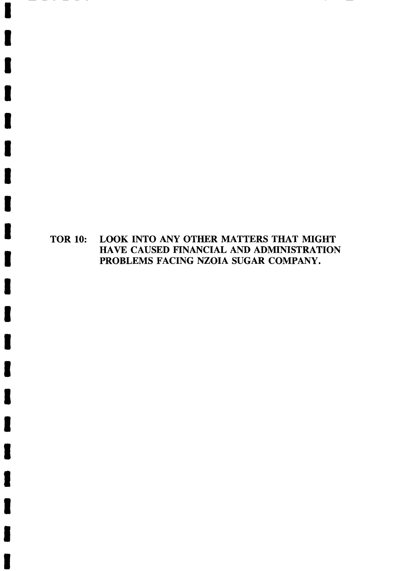# TOR 10: LOOK INTO ANY OTHER MATTERS THAT MIGHT HAYE CAUSED FINANCIAL AND ADMINISTRATION PROBLEMS FACING NZOIA SUGAR COMPANY.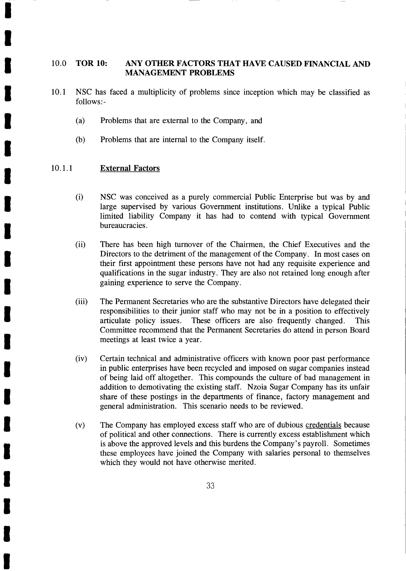#### 10.0 ToR 10: ANY OTHER FACTORS THAT HAVE CAUSED FINANCIAL AND MANAGEMENT PROBLEMS

- 10.1 NSC has faced a multiplicity of problems since inception which may be classified as follows:-
	- (a) Problems that are external to the Company, and
	- (b) Problems that are internal to the Company itself.

#### 10.1.1 External Factors

I

I

I

T

I

I

T

I

I

t

T

T

I

I

I

T

T

I

t

T

- (i) NSC was conceived as a purely commercial Public Enterprise but was by and large supervised by various Government institutions. Unlike a typical Public limited liability Company it has had to contend with typical Government bureaucracies.
- (ii) There has been high turnover of the Chairmen, the Chief Executives and the Directors to the detriment of the management of the Company. In most cases on their first appointment these persons have not had any requisite experience and qualifications in the sugar industry. They are also not retained long enough after gaining experience to serve the Company.
- (iii) The Permanent Secretaries who are the substantive Directors have delegated their responsibilities to their junior staff who may not be in a position to effectively articulate policy issues. These officers are also frequently changed. This Committee recommend that the Permanent Secretaries do attend in person Board meetings at least twice a year.
- (iv) Certain technical and administrative officers with known poor past performance in public enterprises have been recycled and imposed on sugar companies instead of being laid off altogether. This compounds the culture of bad management in addition to demotivating the existing staff. Nzoia Sugar Company has its unfair share of these postings in the departments of finance, factory management and general administration. This scenario needs to be reviewed.
- (v) The Company has employed excess staff who are of dubious credentials because of political and other connections. There is currently excess establishment which is above the approved levels and this burdens the Company's payroll. Sometimes these employees have joined the Company with salaries personal to themselves which they would not have otherwise merited.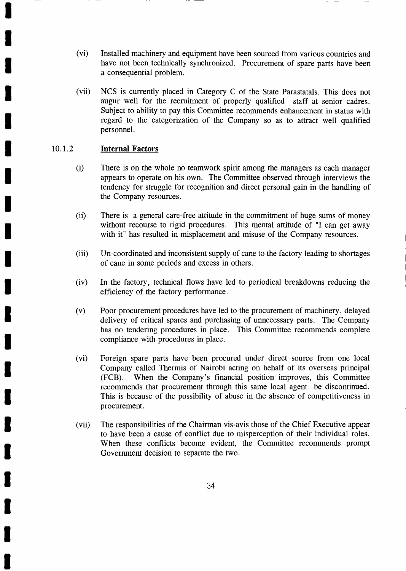- (vi) Installed machinery and equipment have been sourced from various countries and have not been technically synchronized. Procurement of spare parts have been a consequential problem.
- (vii) NCS is currently placed in Category C of the State Parastatals. This does not augur well for the recruitment of properly qualified staff at senior cadres. Subject to ability to pay this Committee recommends enhancement in status with regard to the categorization of the Company so as to attract well qualified personnel.

## 10.1.2 **Internal Factors**

T

I

I

I

I

I

t

t

I

I

I

T

I

T

T

T

T

t

T

t

- (i) There is on the whole no teamwork spirit among the managers as each manager appears to operate on his own. The Committee observed through interviews the tendency for struggle for recognition and direct personal gain in the handling of the Company resources.
- (ii) There is a general care-free attitude in the commitment of huge sums of money without recourse to rigid procedures. This mental attitude of "I can get away with it" has resulted in misplacement and misuse of the Company resources.
- (iii) Un-coordinated and inconsistent supply of cane to the factory leading to shortages of cane in some periods and excess in others.
- (iv) In the factory, technical flows have led to periodical breakdowns reducing the efficiency of the factory performance.
- (v) Poor procurement procedures have led to the procurement of machinery, delayed delivery of critical spares and purchasing of unnecessary parts. The Company has no tendering procedures in place. This Committee recommends complete compliance with procedures in place.
- (vi) Foreign spare parts have been procured under direct source from one local Company called Thermis of Nairobi acting on behalf of its overseas principal (FCB). When the Company's financial position improves, this Committee recommends that procurement through this same local agent be discontinued. This is because of the possibility of abuse in the absence of competitiveness in procurement.
- (vii) The responsibilities of the Chairman vis-avis those of the Chief Executive appear to have been a cause of conflict due to misperception of their individual roles. When these conflicts become evident, the Committee recommends prompt Government decision to separate the two.